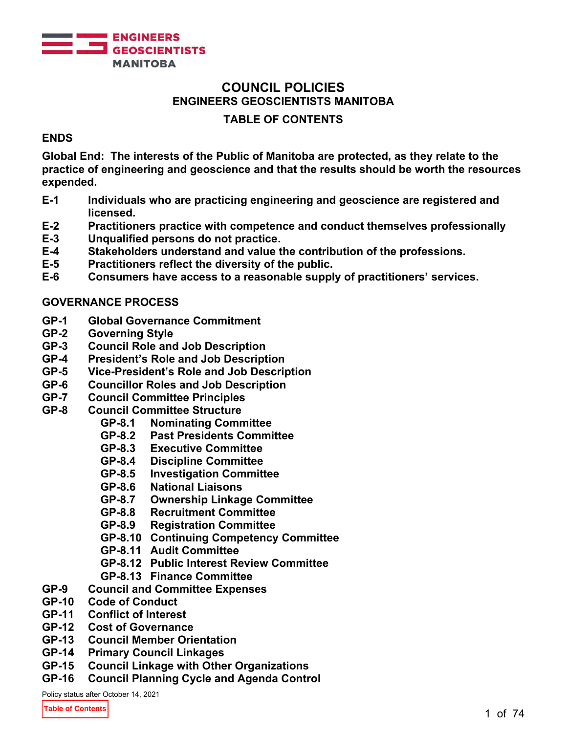

# **COUNCIL POLICIES ENGINEERS GEOSCIENTISTS MANITOBA**

# **TABLE OF CONTENTS**

# **ENDS**

**Global End: The interests of the Public of Manitoba are protected, as they relate to the practice of engineering and geoscience and that the results should be worth the resources expended.**

- **E-1 Individuals who are practicing engineering and geoscience are registered and licensed.**
- **E-2 Practitioners practice with competence and conduct themselves professionally**
- **E-3 Unqualified persons do not practice.**
- **E-4 Stakeholders understand and value the contribution of the professions.**
- **E-5 Practitioners reflect the diversity of the public.**
- **E-6 Consumers have access to a reasonable supply of practitioners' services.**

# **GOVERNANCE PROCESS**

- **GP-1 Global Governance Commitment**
- **GP-2 Governing Style**
- **GP-3 Council Role and Job Description**
- **GP-4 President's Role and Job Description**
- **GP-5 Vice-President's Role and Job Description**
- **GP-6 Councillor Roles and Job Description**
- **GP-7 Council Committee Principles**
- **Council Committee Structure** 
	- **GP-8.1 Nominating Committee**
	- **GP-8.2 Past Presidents Committee**
	- **Executive Committee**
	- **GP-8.4 Discipline Committee**
	- **Investigation Committee**
	- **GP-8.6 National Liaisons**
	- **GP-8.7 Ownership Linkage Committee**
	- **GP-8.8 Recruitment Committee**
	- **Registration Committee**
	- **GP-8.10 Continuing Competency Committee**
	- **GP-8.11 Audit Committee**
	- **GP-8.12 Public Interest Review Committee**
	- **GP-8.13 Finance Committee**
- **GP-9 Council and Committee Expenses**
- **Code of Conduct**
- **GP-11 Conflict of Interest**
- **Cost of Governance**
- **GP-13 Council Member Orientation**
- **GP-14 Primary Council Linkages**
- **GP-15 Council Linkage with Other Organizations**
- **GP-16 Council Planning Cycle and Agenda Control**

Policy status after October 14, 2021

**Table of Contents**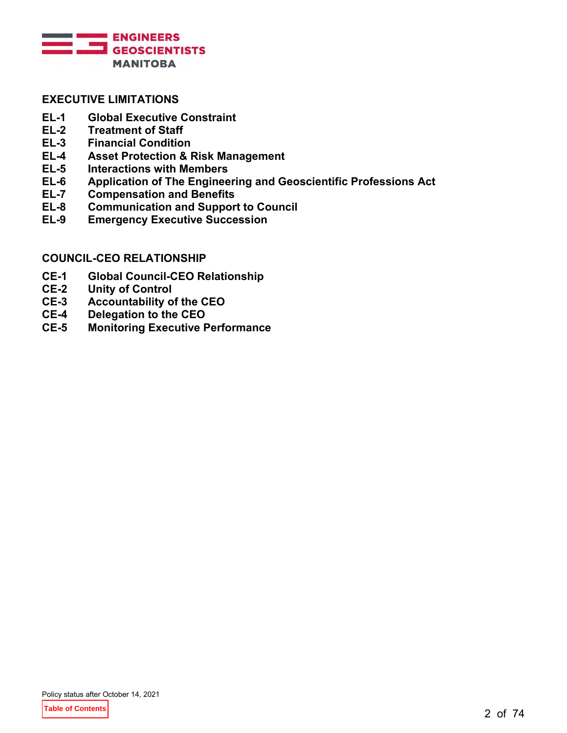

# **EXECUTIVE LIMITATIONS**

- **EL-1 Global Executive Constraint**
- **EL-2 Treatment of Staff**
- **EL-3 Financial Condition**
- **EL-4 Asset Protection & Risk Management**
- **Interactions with Members**
- **EL-6 Application of The Engineering and Geoscientific Professions Act**
- **Compensation and Benefits**
- **EL-8 Communication and Support to Council**
- **Emergency Executive Succession**

#### **COUNCIL-CEO RELATIONSHIP**

- **CE-1 Global Council-CEO Relationship**
- **CE-2 Unity of Control**
- **Accountability of the CEO**
- **CE-4 Delegation to the CEO**
- **CE-5 Monitoring Executive Performance**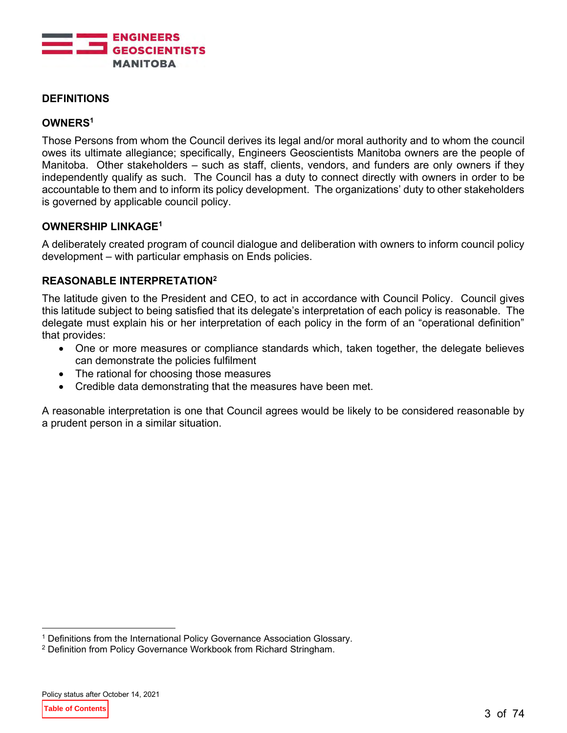

# **DEFINITIONS**

# **OWNERS<sup>1</sup>**

Those Persons from whom the Council derives its legal and/or moral authority and to whom the council owes its ultimate allegiance; specifically, Engineers Geoscientists Manitoba owners are the people of Manitoba. Other stakeholders – such as staff, clients, vendors, and funders are only owners if they independently qualify as such. The Council has a duty to connect directly with owners in order to be accountable to them and to inform its policy development. The organizations' duty to other stakeholders is governed by applicable council policy.

# **OWNERSHIP LINKAGE<sup>1</sup>**

A deliberately created program of council dialogue and deliberation with owners to inform council policy development – with particular emphasis on Ends policies.

#### **REASONABLE INTERPRETATION<sup>2</sup>**

The latitude given to the President and CEO, to act in accordance with Council Policy. Council gives this latitude subject to being satisfied that its delegate's interpretation of each policy is reasonable. The delegate must explain his or her interpretation of each policy in the form of an "operational definition" that provides:

- One or more measures or compliance standards which, taken together, the delegate believes can demonstrate the policies fulfilment
- The rational for choosing those measures
- Credible data demonstrating that the measures have been met.

A reasonable interpretation is one that Council agrees would be likely to be considered reasonable by a prudent person in a similar situation.

<sup>1</sup> Definitions from the International Policy Governance Association Glossary.

<sup>2</sup> Definition from Policy Governance Workbook from Richard Stringham.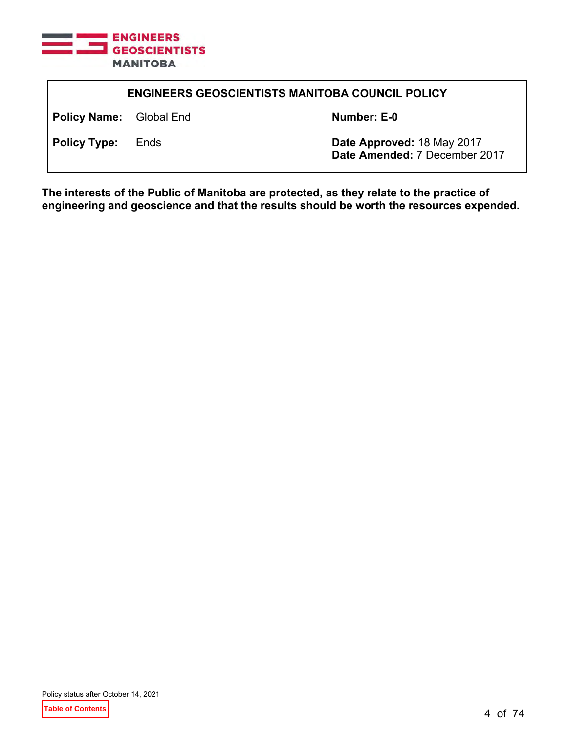

| <b>ENGINEERS GEOSCIENTISTS MANITOBA COUNCIL POLICY</b> |  |                                                             |
|--------------------------------------------------------|--|-------------------------------------------------------------|
| <b>Policy Name:</b> Global End                         |  | Number: E-0                                                 |
| <b>Policy Type:</b> Ends                               |  | Date Approved: 18 May 2017<br>Date Amended: 7 December 2017 |
|                                                        |  |                                                             |

**The interests of the Public of Manitoba are protected, as they relate to the practice of engineering and geoscience and that the results should be worth the resources expended.**

Policy status after October 14, 2021

**Table of Contents**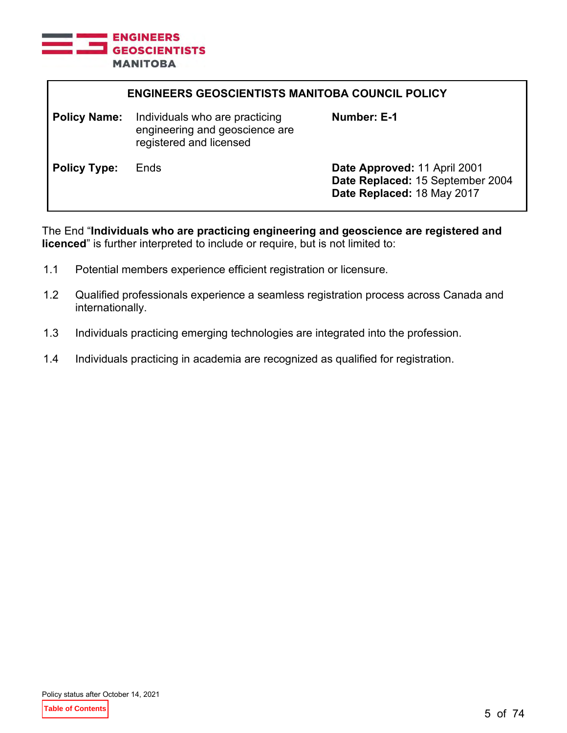

| <b>ENGINEERS GEOSCIENTISTS MANITOBA COUNCIL POLICY</b> |                                                                                             |                                                                                                |
|--------------------------------------------------------|---------------------------------------------------------------------------------------------|------------------------------------------------------------------------------------------------|
| <b>Policy Name:</b>                                    | Individuals who are practicing<br>engineering and geoscience are<br>registered and licensed | Number: E-1                                                                                    |
| <b>Policy Type:</b>                                    | Ends                                                                                        | Date Approved: 11 April 2001<br>Date Replaced: 15 September 2004<br>Date Replaced: 18 May 2017 |

The End "**Individuals who are practicing engineering and geoscience are registered and licenced**" is further interpreted to include or require, but is not limited to:

- 1.1 Potential members experience efficient registration or licensure.
- 1.2 Qualified professionals experience a seamless registration process across Canada and internationally.
- 1.3 Individuals practicing emerging technologies are integrated into the profession.
- 1.4 Individuals practicing in academia are recognized as qualified for registration.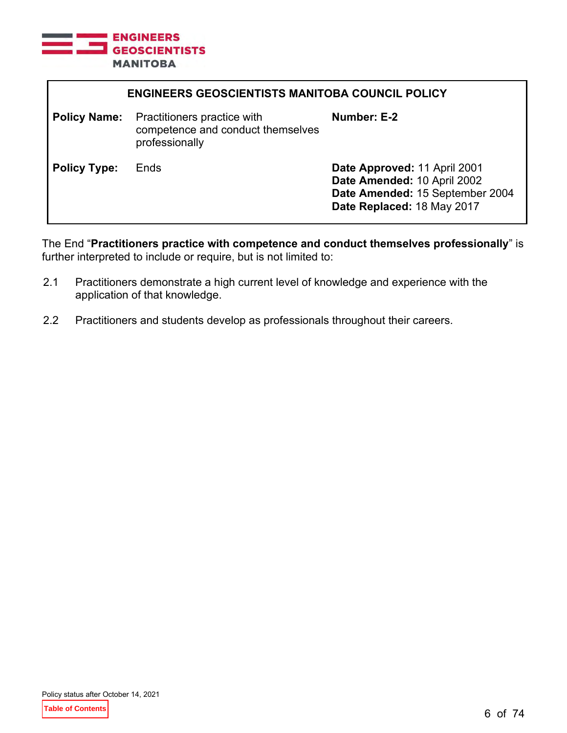

| <b>ENGINEERS GEOSCIENTISTS MANITOBA COUNCIL POLICY</b> |                                                                                    |                                                                                                                              |
|--------------------------------------------------------|------------------------------------------------------------------------------------|------------------------------------------------------------------------------------------------------------------------------|
| <b>Policy Name:</b>                                    | Practitioners practice with<br>competence and conduct themselves<br>professionally | Number: E-2                                                                                                                  |
| <b>Policy Type:</b>                                    | Ends                                                                               | Date Approved: 11 April 2001<br>Date Amended: 10 April 2002<br>Date Amended: 15 September 2004<br>Date Replaced: 18 May 2017 |

The End "**Practitioners practice with competence and conduct themselves professionally**" is further interpreted to include or require, but is not limited to:

- 2.1 Practitioners demonstrate a high current level of knowledge and experience with the application of that knowledge.
- 2.2 Practitioners and students develop as professionals throughout their careers.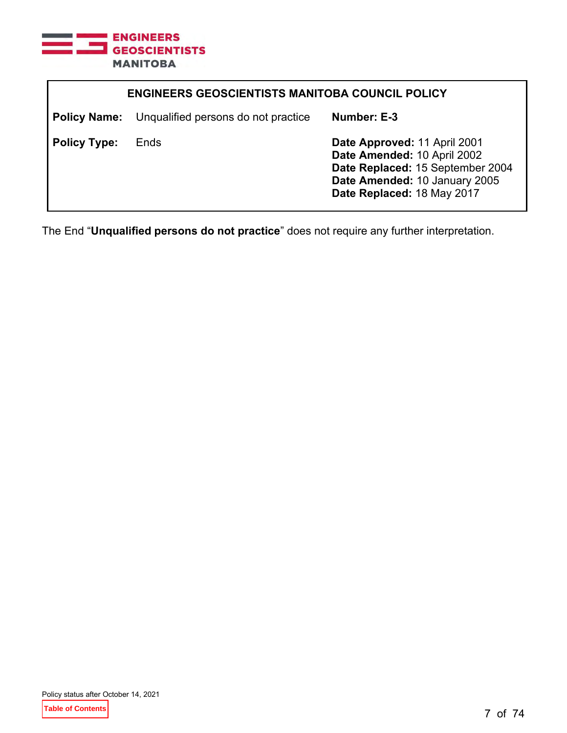

| <b>ENGINEERS GEOSCIENTISTS MANITOBA COUNCIL POLICY</b> |                                                         |                                                                                                                                                                |
|--------------------------------------------------------|---------------------------------------------------------|----------------------------------------------------------------------------------------------------------------------------------------------------------------|
|                                                        | <b>Policy Name:</b> Unqualified persons do not practice | Number: E-3                                                                                                                                                    |
| <b>Policy Type:</b>                                    | Ends                                                    | Date Approved: 11 April 2001<br>Date Amended: 10 April 2002<br>Date Replaced: 15 September 2004<br>Date Amended: 10 January 2005<br>Date Replaced: 18 May 2017 |

The End "**Unqualified persons do not practice**" does not require any further interpretation.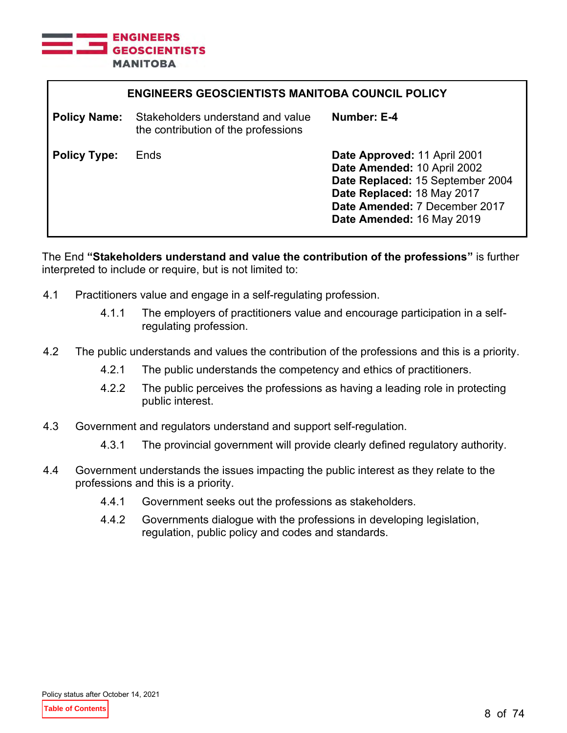

| <b>ENGINEERS GEOSCIENTISTS MANITOBA COUNCIL POLICY</b> |                                                                          |                                                                                                                                                                                             |
|--------------------------------------------------------|--------------------------------------------------------------------------|---------------------------------------------------------------------------------------------------------------------------------------------------------------------------------------------|
| <b>Policy Name:</b>                                    | Stakeholders understand and value<br>the contribution of the professions | Number: E-4                                                                                                                                                                                 |
| <b>Policy Type:</b>                                    | Ends                                                                     | Date Approved: 11 April 2001<br>Date Amended: 10 April 2002<br>Date Replaced: 15 September 2004<br>Date Replaced: 18 May 2017<br>Date Amended: 7 December 2017<br>Date Amended: 16 May 2019 |

The End **"Stakeholders understand and value the contribution of the professions"** is further interpreted to include or require, but is not limited to:

- 4.1 Practitioners value and engage in a self-regulating profession.
	- 4.1.1 The employers of practitioners value and encourage participation in a selfregulating profession.
- 4.2 The public understands and values the contribution of the professions and this is a priority.
	- 4.2.1 The public understands the competency and ethics of practitioners.
	- 4.2.2 The public perceives the professions as having a leading role in protecting public interest.
- 4.3 Government and regulators understand and support self-regulation.
	- 4.3.1 The provincial government will provide clearly defined regulatory authority.
- 4.4 Government understands the issues impacting the public interest as they relate to the professions and this is a priority.
	- 4.4.1 Government seeks out the professions as stakeholders.
	- 4.4.2 Governments dialogue with the professions in developing legislation, regulation, public policy and codes and standards.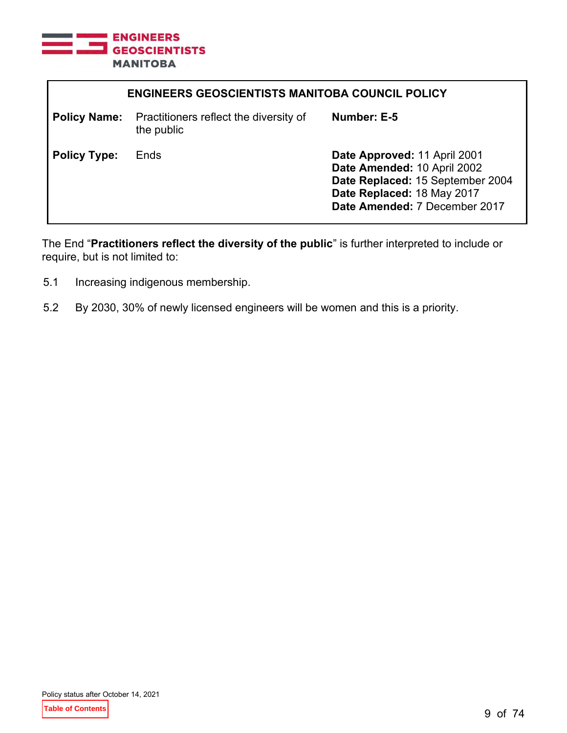

| <b>ENGINEERS GEOSCIENTISTS MANITOBA COUNCIL POLICY</b> |                                                                          |                                                                                                                                                                |
|--------------------------------------------------------|--------------------------------------------------------------------------|----------------------------------------------------------------------------------------------------------------------------------------------------------------|
|                                                        | <b>Policy Name:</b> Practitioners reflect the diversity of<br>the public | Number: E-5                                                                                                                                                    |
| <b>Policy Type:</b>                                    | Ends                                                                     | Date Approved: 11 April 2001<br>Date Amended: 10 April 2002<br>Date Replaced: 15 September 2004<br>Date Replaced: 18 May 2017<br>Date Amended: 7 December 2017 |

The End "**Practitioners reflect the diversity of the public**" is further interpreted to include or require, but is not limited to:

- 5.1 Increasing indigenous membership.
- 5.2 By 2030, 30% of newly licensed engineers will be women and this is a priority.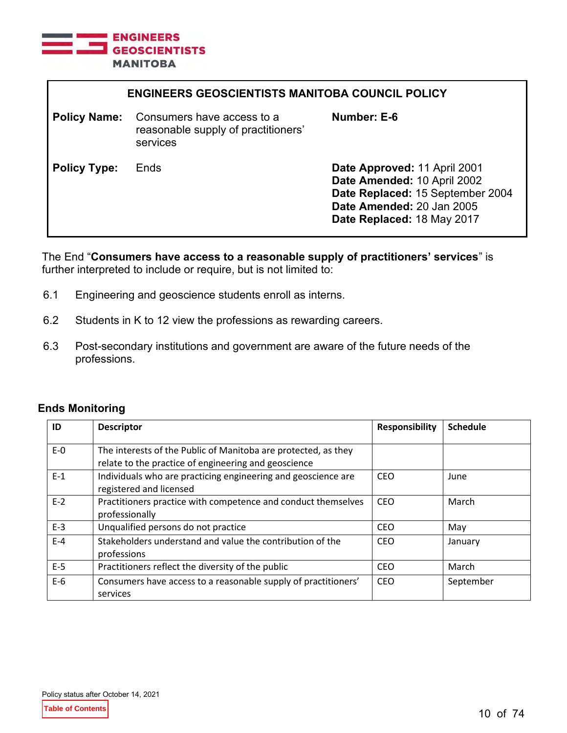

| <b>ENGINEERS GEOSCIENTISTS MANITOBA COUNCIL POLICY</b> |                                                                               |                                                                                                                                                            |
|--------------------------------------------------------|-------------------------------------------------------------------------------|------------------------------------------------------------------------------------------------------------------------------------------------------------|
| <b>Policy Name:</b>                                    | Consumers have access to a<br>reasonable supply of practitioners'<br>services | Number: E-6                                                                                                                                                |
| <b>Policy Type:</b>                                    | Ends                                                                          | Date Approved: 11 April 2001<br>Date Amended: 10 April 2002<br>Date Replaced: 15 September 2004<br>Date Amended: 20 Jan 2005<br>Date Replaced: 18 May 2017 |

The End "**Consumers have access to a reasonable supply of practitioners' services**" is further interpreted to include or require, but is not limited to:

- 6.1 Engineering and geoscience students enroll as interns.
- 6.2 Students in K to 12 view the professions as rewarding careers.
- 6.3 Post-secondary institutions and government are aware of the future needs of the professions.

#### **Ends Monitoring**

| ID    | <b>Descriptor</b>                                                                                                      | Responsibility | <b>Schedule</b> |
|-------|------------------------------------------------------------------------------------------------------------------------|----------------|-----------------|
| $E-0$ | The interests of the Public of Manitoba are protected, as they<br>relate to the practice of engineering and geoscience |                |                 |
| $E-1$ | Individuals who are practicing engineering and geoscience are<br>registered and licensed                               | <b>CEO</b>     | June            |
| $E-2$ | Practitioners practice with competence and conduct themselves<br>professionally                                        | CEO            | March           |
| $E-3$ | Unqualified persons do not practice                                                                                    | CEO            | May             |
| $E-4$ | Stakeholders understand and value the contribution of the<br>professions                                               | <b>CEO</b>     | January         |
| $E-5$ | Practitioners reflect the diversity of the public                                                                      | <b>CEO</b>     | March           |
| $E-6$ | Consumers have access to a reasonable supply of practitioners'<br>services                                             | CEO            | September       |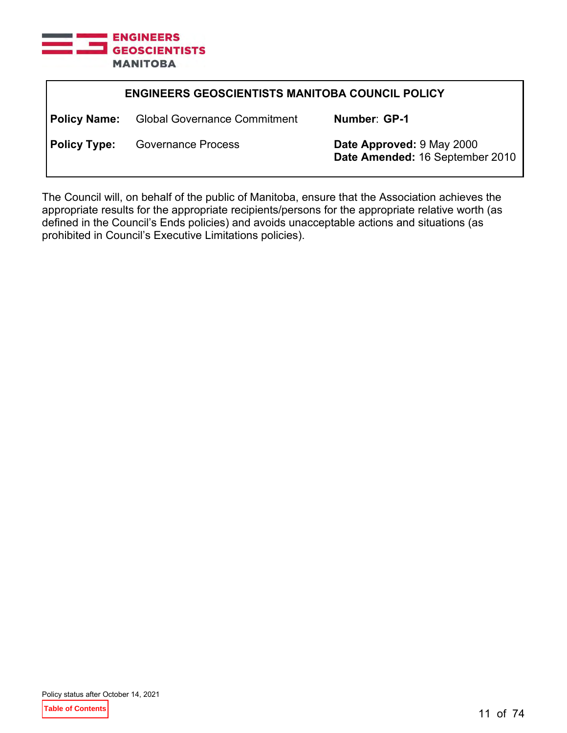

| <b>ENGINEERS GEOSCIENTISTS MANITOBA COUNCIL POLICY</b> |                                                  |                                                              |
|--------------------------------------------------------|--------------------------------------------------|--------------------------------------------------------------|
|                                                        | <b>Policy Name:</b> Global Governance Commitment | Number: GP-1                                                 |
| <b>Policy Type:</b>                                    | <b>Governance Process</b>                        | Date Approved: 9 May 2000<br>Date Amended: 16 September 2010 |

The Council will, on behalf of the public of Manitoba, ensure that the Association achieves the appropriate results for the appropriate recipients/persons for the appropriate relative worth (as defined in the Council's Ends policies) and avoids unacceptable actions and situations (as prohibited in Council's Executive Limitations policies).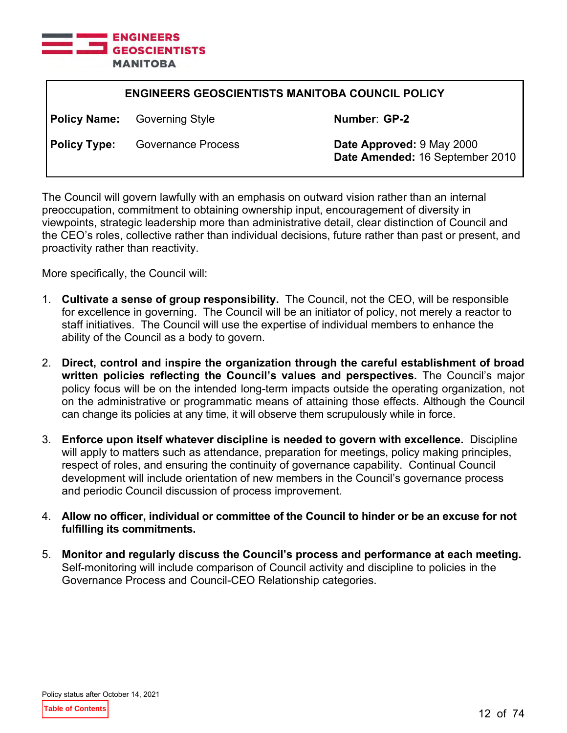

| <b>ENGINEERS GEOSCIENTISTS MANITOBA COUNCIL POLICY</b> |                                     |                                                              |
|--------------------------------------------------------|-------------------------------------|--------------------------------------------------------------|
|                                                        | <b>Policy Name:</b> Governing Style | Number: GP-2                                                 |
| <b>Policy Type:</b>                                    | <b>Governance Process</b>           | Date Approved: 9 May 2000<br>Date Amended: 16 September 2010 |

The Council will govern lawfully with an emphasis on outward vision rather than an internal preoccupation, commitment to obtaining ownership input, encouragement of diversity in viewpoints, strategic leadership more than administrative detail, clear distinction of Council and the CEO's roles, collective rather than individual decisions, future rather than past or present, and proactivity rather than reactivity.

More specifically, the Council will:

- 1. **Cultivate a sense of group responsibility.** The Council, not the CEO, will be responsible for excellence in governing. The Council will be an initiator of policy, not merely a reactor to staff initiatives. The Council will use the expertise of individual members to enhance the ability of the Council as a body to govern.
- 2. **Direct, control and inspire the organization through the careful establishment of broad written policies reflecting the Council's values and perspectives.** The Council's major policy focus will be on the intended long-term impacts outside the operating organization, not on the administrative or programmatic means of attaining those effects. Although the Council can change its policies at any time, it will observe them scrupulously while in force.
- 3. **Enforce upon itself whatever discipline is needed to govern with excellence.** Discipline will apply to matters such as attendance, preparation for meetings, policy making principles, respect of roles, and ensuring the continuity of governance capability. Continual Council development will include orientation of new members in the Council's governance process and periodic Council discussion of process improvement.
- 4. **Allow no officer, individual or committee of the Council to hinder or be an excuse for not fulfilling its commitments.**
- 5. **Monitor and regularly discuss the Council's process and performance at each meeting.** Self-monitoring will include comparison of Council activity and discipline to policies in the Governance Process and Council-CEO Relationship categories.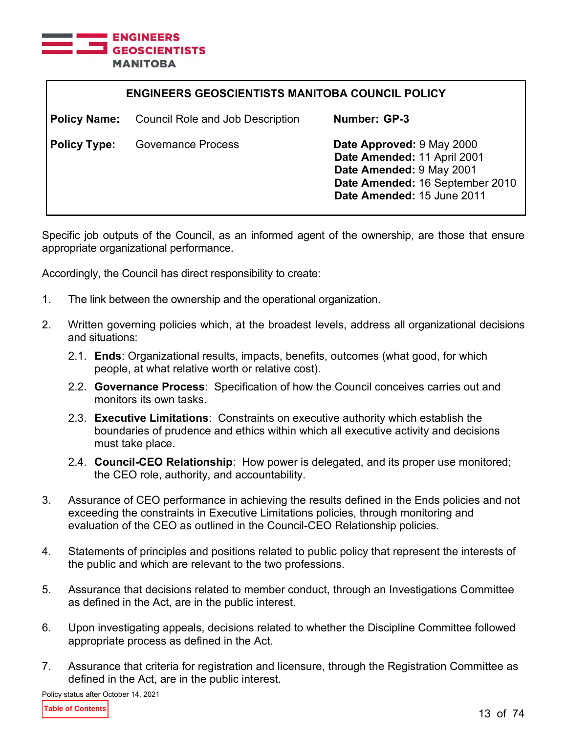

| <b>ENGINEERS GEOSCIENTISTS MANITOBA COUNCIL POLICY</b> |                                         |                                                                                                                                                       |
|--------------------------------------------------------|-----------------------------------------|-------------------------------------------------------------------------------------------------------------------------------------------------------|
| <b>Policy Name:</b>                                    | <b>Council Role and Job Description</b> | Number: GP-3                                                                                                                                          |
| <b>Policy Type:</b>                                    | <b>Governance Process</b>               | Date Approved: 9 May 2000<br>Date Amended: 11 April 2001<br>Date Amended: 9 May 2001<br>Date Amended: 16 September 2010<br>Date Amended: 15 June 2011 |

Specific job outputs of the Council, as an informed agent of the ownership, are those that ensure appropriate organizational performance.

Accordingly, the Council has direct responsibility to create:

- 1. The link between the ownership and the operational organization.
- 2. Written governing policies which, at the broadest levels, address all organizational decisions and situations:
	- 2.1. **Ends**: Organizational results, impacts, benefits, outcomes (what good, for which people, at what relative worth or relative cost).
	- 2.2. **Governance Process**: Specification of how the Council conceives carries out and monitors its own tasks.
	- 2.3. **Executive Limitations**: Constraints on executive authority which establish the boundaries of prudence and ethics within which all executive activity and decisions must take place.
	- 2.4. **Council-CEO Relationship**: How power is delegated, and its proper use monitored; the CEO role, authority, and accountability.
- 3. Assurance of CEO performance in achieving the results defined in the Ends policies and not exceeding the constraints in Executive Limitations policies, through monitoring and evaluation of the CEO as outlined in the Council-CEO Relationship policies.
- 4. Statements of principles and positions related to public policy that represent the interests of the public and which are relevant to the two professions.
- 5. Assurance that decisions related to member conduct, through an Investigations Committee as defined in the Act, are in the public interest.
- 6. Upon investigating appeals, decisions related to whether the Discipline Committee followed appropriate process as defined in the Act.
- 7. Assurance that criteria for registration and licensure, through the Registration Committee as defined in the Act, are in the public interest.

Policy status after October 14, 2021

**Table of Contents**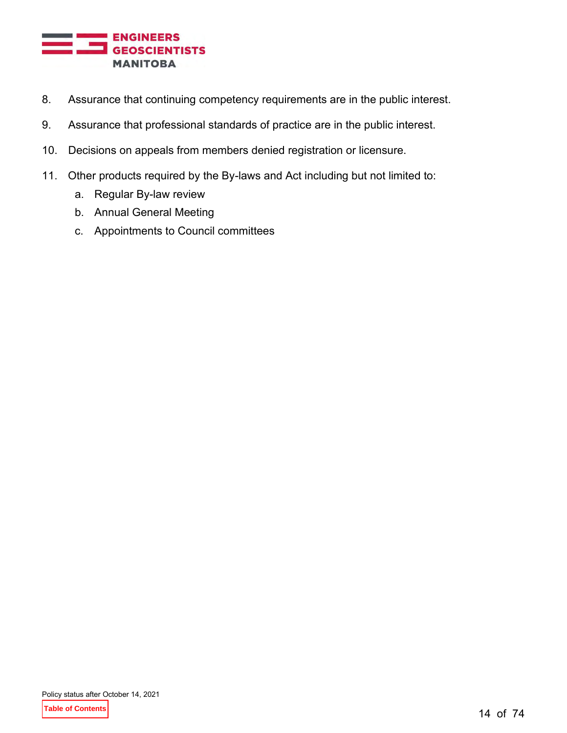

- 8. Assurance that continuing competency requirements are in the public interest.
- 9. Assurance that professional standards of practice are in the public interest.
- 10. Decisions on appeals from members denied registration or licensure.
- 11. Other products required by the By-laws and Act including but not limited to:
	- a. Regular By-law review
	- b. Annual General Meeting
	- c. Appointments to Council committees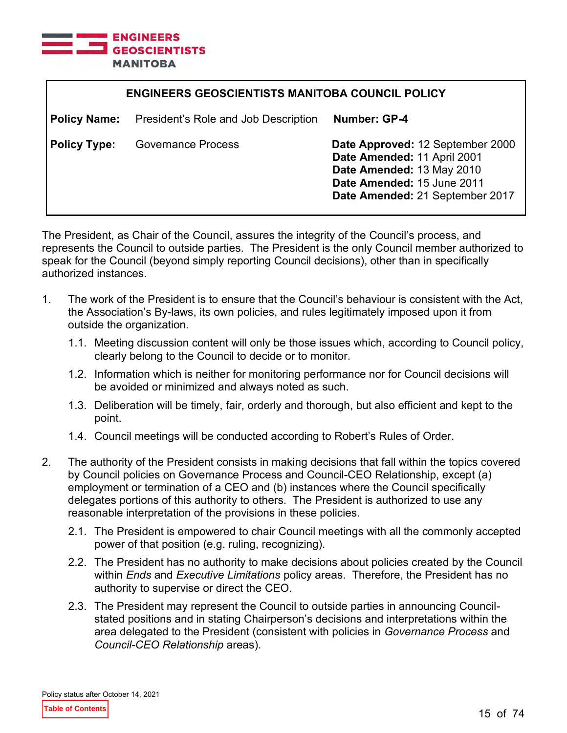

| <b>ENGINEERS GEOSCIENTISTS MANITOBA COUNCIL POLICY</b> |                                      |                                                                                                                                                               |
|--------------------------------------------------------|--------------------------------------|---------------------------------------------------------------------------------------------------------------------------------------------------------------|
| <b>Policy Name:</b>                                    | President's Role and Job Description | Number: GP-4                                                                                                                                                  |
| <b>Policy Type:</b>                                    | <b>Governance Process</b>            | Date Approved: 12 September 2000<br>Date Amended: 11 April 2001<br>Date Amended: 13 May 2010<br>Date Amended: 15 June 2011<br>Date Amended: 21 September 2017 |

The President, as Chair of the Council, assures the integrity of the Council's process, and represents the Council to outside parties. The President is the only Council member authorized to speak for the Council (beyond simply reporting Council decisions), other than in specifically authorized instances.

- 1. The work of the President is to ensure that the Council's behaviour is consistent with the Act, the Association's By-laws, its own policies, and rules legitimately imposed upon it from outside the organization.
	- 1.1. Meeting discussion content will only be those issues which, according to Council policy, clearly belong to the Council to decide or to monitor.
	- 1.2. Information which is neither for monitoring performance nor for Council decisions will be avoided or minimized and always noted as such.
	- 1.3. Deliberation will be timely, fair, orderly and thorough, but also efficient and kept to the point.
	- 1.4. Council meetings will be conducted according to Robert's Rules of Order.
- 2. The authority of the President consists in making decisions that fall within the topics covered by Council policies on Governance Process and Council-CEO Relationship, except (a) employment or termination of a CEO and (b) instances where the Council specifically delegates portions of this authority to others. The President is authorized to use any reasonable interpretation of the provisions in these policies.
	- 2.1. The President is empowered to chair Council meetings with all the commonly accepted power of that position (e.g. ruling, recognizing).
	- 2.2. The President has no authority to make decisions about policies created by the Council within *Ends* and *Executive Limitations* policy areas. Therefore, the President has no authority to supervise or direct the CEO.
	- 2.3. The President may represent the Council to outside parties in announcing Councilstated positions and in stating Chairperson's decisions and interpretations within the area delegated to the President (consistent with policies in *Governance Process* and *Council-CEO Relationship* areas).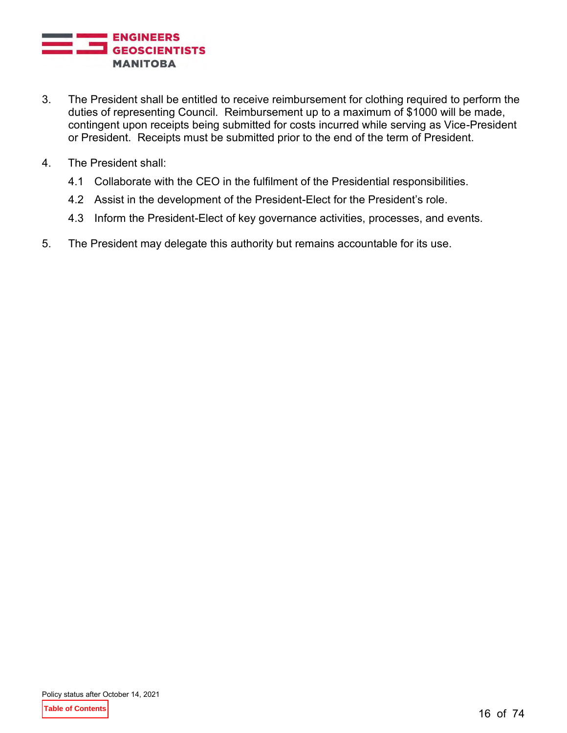

- 3. The President shall be entitled to receive reimbursement for clothing required to perform the duties of representing Council. Reimbursement up to a maximum of \$1000 will be made, contingent upon receipts being submitted for costs incurred while serving as Vice-President or President. Receipts must be submitted prior to the end of the term of President.
- 4. The President shall:
	- 4.1 Collaborate with the CEO in the fulfilment of the Presidential responsibilities.
	- 4.2 Assist in the development of the President-Elect for the President's role.
	- 4.3 Inform the President-Elect of key governance activities, processes, and events.
- 5. The President may delegate this authority but remains accountable for its use.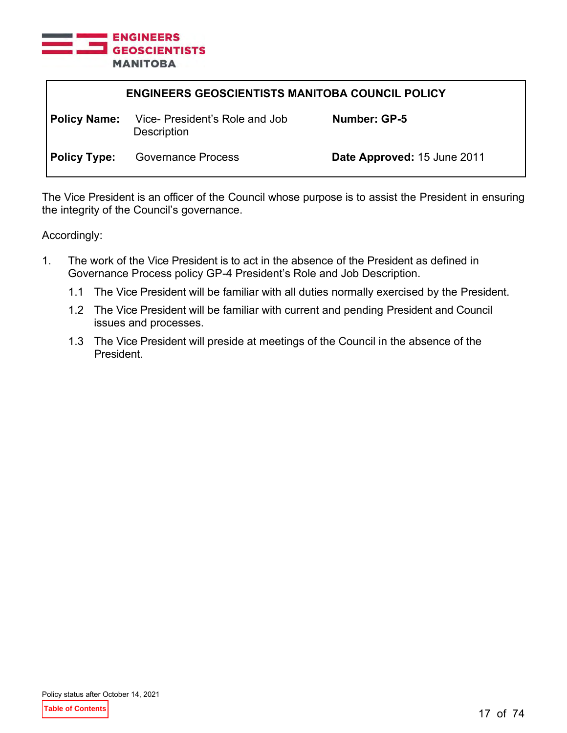

| <b>ENGINEERS GEOSCIENTISTS MANITOBA COUNCIL POLICY</b> |                                                     |                             |
|--------------------------------------------------------|-----------------------------------------------------|-----------------------------|
| <b>Policy Name:</b>                                    | Vice-President's Role and Job<br><b>Description</b> | Number: GP-5                |
| <b>Policy Type:</b>                                    | <b>Governance Process</b>                           | Date Approved: 15 June 2011 |

The Vice President is an officer of the Council whose purpose is to assist the President in ensuring the integrity of the Council's governance.

Accordingly:

- 1. The work of the Vice President is to act in the absence of the President as defined in Governance Process policy GP-4 President's Role and Job Description.
	- 1.1 The Vice President will be familiar with all duties normally exercised by the President.
	- 1.2 The Vice President will be familiar with current and pending President and Council issues and processes.
	- 1.3 The Vice President will preside at meetings of the Council in the absence of the President.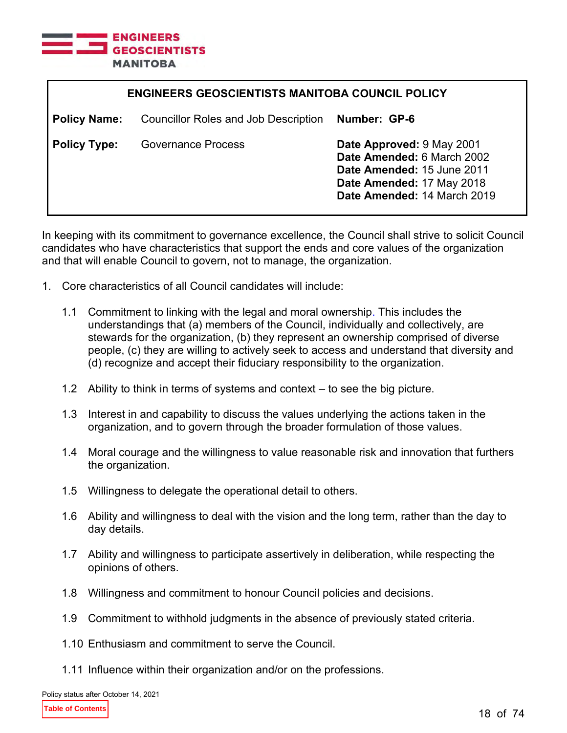

| <b>ENGINEERS GEOSCIENTISTS MANITOBA COUNCIL POLICY</b> |                                             |                                                                                                                                                   |
|--------------------------------------------------------|---------------------------------------------|---------------------------------------------------------------------------------------------------------------------------------------------------|
| <b>Policy Name:</b>                                    | <b>Councillor Roles and Job Description</b> | Number: GP-6                                                                                                                                      |
| <b>Policy Type:</b>                                    | <b>Governance Process</b>                   | Date Approved: 9 May 2001<br>Date Amended: 6 March 2002<br>Date Amended: 15 June 2011<br>Date Amended: 17 May 2018<br>Date Amended: 14 March 2019 |

In keeping with its commitment to governance excellence, the Council shall strive to solicit Council candidates who have characteristics that support the ends and core values of the organization and that will enable Council to govern, not to manage, the organization.

- 1. Core characteristics of all Council candidates will include:
	- 1.1 Commitment to linking with the legal and moral ownership. This includes the understandings that (a) members of the Council, individually and collectively, are stewards for the organization, (b) they represent an ownership comprised of diverse people, (c) they are willing to actively seek to access and understand that diversity and (d) recognize and accept their fiduciary responsibility to the organization.
	- 1.2 Ability to think in terms of systems and context to see the big picture.
	- 1.3 Interest in and capability to discuss the values underlying the actions taken in the organization, and to govern through the broader formulation of those values.
	- 1.4 Moral courage and the willingness to value reasonable risk and innovation that furthers the organization.
	- 1.5 Willingness to delegate the operational detail to others.
	- 1.6 Ability and willingness to deal with the vision and the long term, rather than the day to day details.
	- 1.7 Ability and willingness to participate assertively in deliberation, while respecting the opinions of others.
	- 1.8 Willingness and commitment to honour Council policies and decisions.
	- 1.9 Commitment to withhold judgments in the absence of previously stated criteria.
	- 1.10 Enthusiasm and commitment to serve the Council.
	- 1.11 Influence within their organization and/or on the professions.

Policy status after October 14, 2021

**Table of Contents**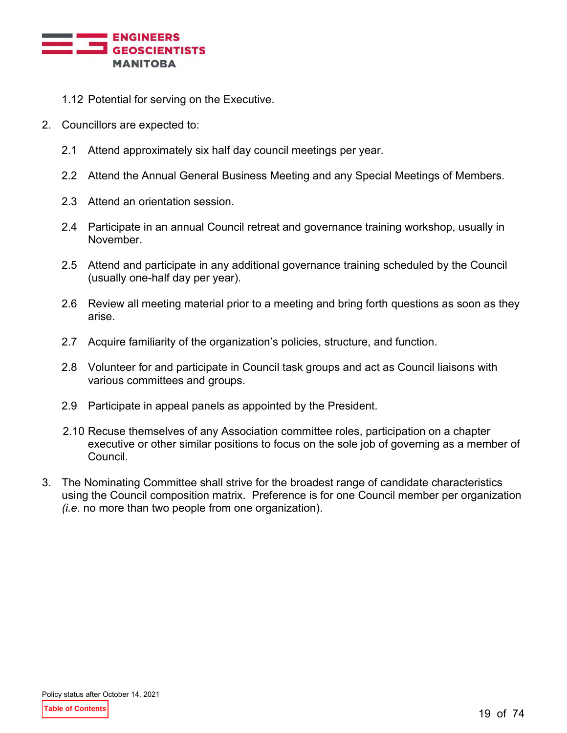

- 1.12 Potential for serving on the Executive.
- 2. Councillors are expected to:
	- 2.1 Attend approximately six half day council meetings per year.
	- 2.2 Attend the Annual General Business Meeting and any Special Meetings of Members.
	- 2.3 Attend an orientation session.
	- 2.4 Participate in an annual Council retreat and governance training workshop, usually in November.
	- 2.5 Attend and participate in any additional governance training scheduled by the Council (usually one-half day per year).
	- 2.6 Review all meeting material prior to a meeting and bring forth questions as soon as they arise.
	- 2.7 Acquire familiarity of the organization's policies, structure, and function.
	- 2.8 Volunteer for and participate in Council task groups and act as Council liaisons with various committees and groups.
	- 2.9 Participate in appeal panels as appointed by the President.
	- 2.10 Recuse themselves of any Association committee roles, participation on a chapter executive or other similar positions to focus on the sole job of governing as a member of Council.
- 3. The Nominating Committee shall strive for the broadest range of candidate characteristics using the Council composition matrix. Preference is for one Council member per organization *(i.e.* no more than two people from one organization).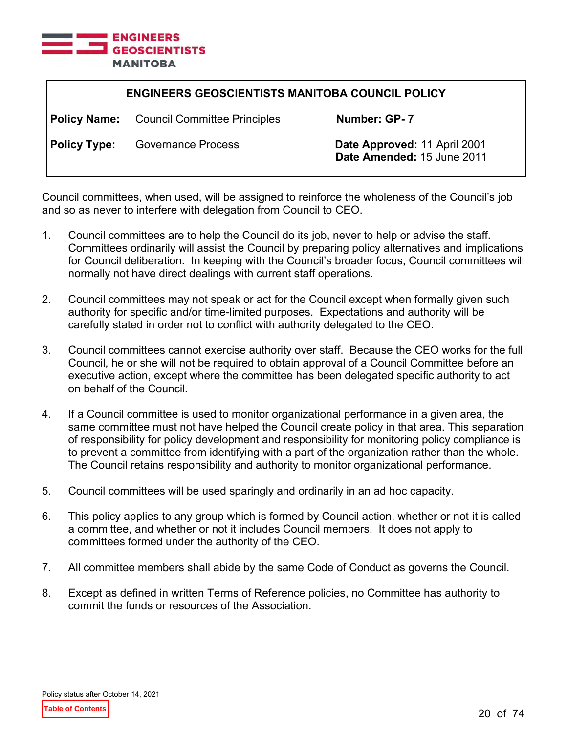

| <b>ENGINEERS GEOSCIENTISTS MANITOBA COUNCIL POLICY</b> |                                                  |                                                            |
|--------------------------------------------------------|--------------------------------------------------|------------------------------------------------------------|
|                                                        | <b>Policy Name:</b> Council Committee Principles | Number: GP-7                                               |
| <b>Policy Type:</b>                                    | <b>Governance Process</b>                        | Date Approved: 11 April 2001<br>Date Amended: 15 June 2011 |

Council committees, when used, will be assigned to reinforce the wholeness of the Council's job and so as never to interfere with delegation from Council to CEO.

- 1. Council committees are to help the Council do its job, never to help or advise the staff. Committees ordinarily will assist the Council by preparing policy alternatives and implications for Council deliberation. In keeping with the Council's broader focus, Council committees will normally not have direct dealings with current staff operations.
- 2. Council committees may not speak or act for the Council except when formally given such authority for specific and/or time-limited purposes. Expectations and authority will be carefully stated in order not to conflict with authority delegated to the CEO.
- 3. Council committees cannot exercise authority over staff. Because the CEO works for the full Council, he or she will not be required to obtain approval of a Council Committee before an executive action, except where the committee has been delegated specific authority to act on behalf of the Council.
- 4. If a Council committee is used to monitor organizational performance in a given area, the same committee must not have helped the Council create policy in that area. This separation of responsibility for policy development and responsibility for monitoring policy compliance is to prevent a committee from identifying with a part of the organization rather than the whole. The Council retains responsibility and authority to monitor organizational performance.
- 5. Council committees will be used sparingly and ordinarily in an ad hoc capacity.
- 6. This policy applies to any group which is formed by Council action, whether or not it is called a committee, and whether or not it includes Council members. It does not apply to committees formed under the authority of the CEO.
- 7. All committee members shall abide by the same Code of Conduct as governs the Council.
- 8. Except as defined in written Terms of Reference policies, no Committee has authority to commit the funds or resources of the Association.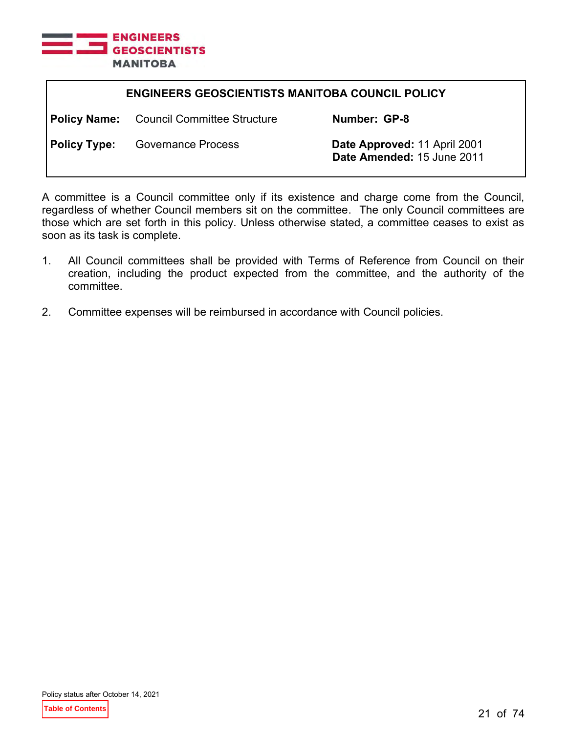

| <b>ENGINEERS GEOSCIENTISTS MANITOBA COUNCIL POLICY</b> |                                                 |                                                            |
|--------------------------------------------------------|-------------------------------------------------|------------------------------------------------------------|
|                                                        | <b>Policy Name:</b> Council Committee Structure | Number: GP-8                                               |
| <b>Policy Type:</b>                                    | <b>Governance Process</b>                       | Date Approved: 11 April 2001<br>Date Amended: 15 June 2011 |

A committee is a Council committee only if its existence and charge come from the Council, regardless of whether Council members sit on the committee. The only Council committees are those which are set forth in this policy. Unless otherwise stated, a committee ceases to exist as soon as its task is complete.

- 1. All Council committees shall be provided with Terms of Reference from Council on their creation, including the product expected from the committee, and the authority of the committee.
- 2. Committee expenses will be reimbursed in accordance with Council policies.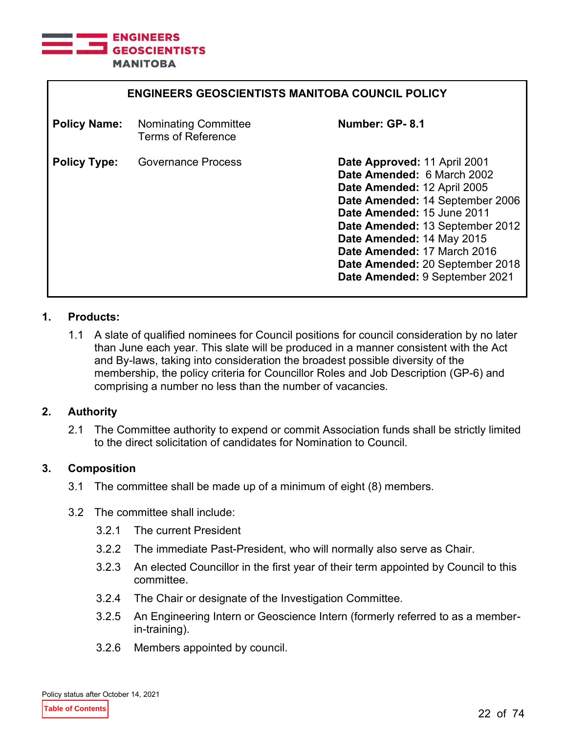

| <b>ENGINEERS GEOSCIENTISTS MANITOBA COUNCIL POLICY</b> |                                                          |                                                                                                                                                                                                                                                                                                                                |
|--------------------------------------------------------|----------------------------------------------------------|--------------------------------------------------------------------------------------------------------------------------------------------------------------------------------------------------------------------------------------------------------------------------------------------------------------------------------|
| <b>Policy Name:</b>                                    | <b>Nominating Committee</b><br><b>Terms of Reference</b> | Number: GP-8.1                                                                                                                                                                                                                                                                                                                 |
| <b>Policy Type:</b>                                    | Governance Process                                       | Date Approved: 11 April 2001<br>Date Amended: 6 March 2002<br>Date Amended: 12 April 2005<br>Date Amended: 14 September 2006<br>Date Amended: 15 June 2011<br>Date Amended: 13 September 2012<br>Date Amended: 14 May 2015<br>Date Amended: 17 March 2016<br>Date Amended: 20 September 2018<br>Date Amended: 9 September 2021 |

1.1 A slate of qualified nominees for Council positions for council consideration by no later than June each year. This slate will be produced in a manner consistent with the Act and By-laws, taking into consideration the broadest possible diversity of the membership, the policy criteria for Councillor Roles and Job Description (GP-6) and comprising a number no less than the number of vacancies.

# **2. Authority**

2.1 The Committee authority to expend or commit Association funds shall be strictly limited to the direct solicitation of candidates for Nomination to Council.

# **3. Composition**

- 3.1 The committee shall be made up of a minimum of eight (8) members.
- 3.2 The committee shall include:
	- 3.2.1 The current President
	- 3.2.2 The immediate Past-President, who will normally also serve as Chair.
	- 3.2.3 An elected Councillor in the first year of their term appointed by Council to this committee.
	- 3.2.4 The Chair or designate of the Investigation Committee.
	- 3.2.5 An Engineering Intern or Geoscience Intern (formerly referred to as a memberin-training).
	- 3.2.6 Members appointed by council.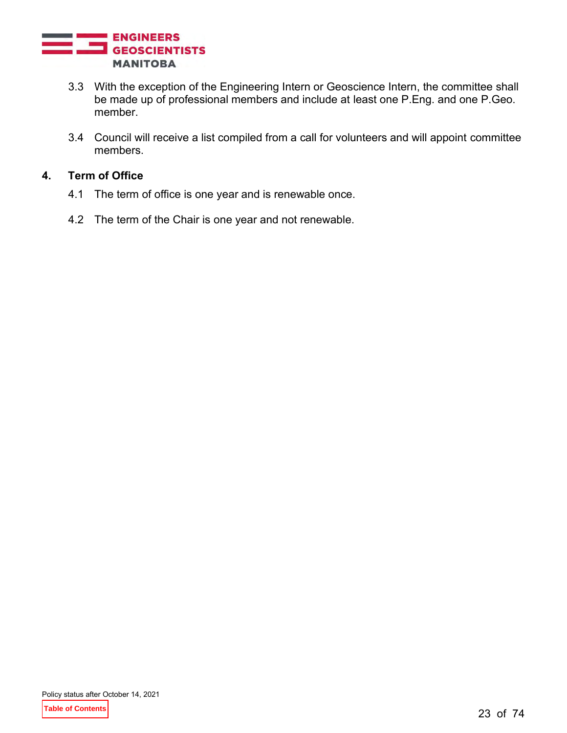

- 3.3 With the exception of the Engineering Intern or Geoscience Intern, the committee shall be made up of professional members and include at least one P.Eng. and one P.Geo. member.
- 3.4 Council will receive a list compiled from a call for volunteers and will appoint committee members.

# **4. Term of Office**

- 4.1 The term of office is one year and is renewable once.
- 4.2 The term of the Chair is one year and not renewable.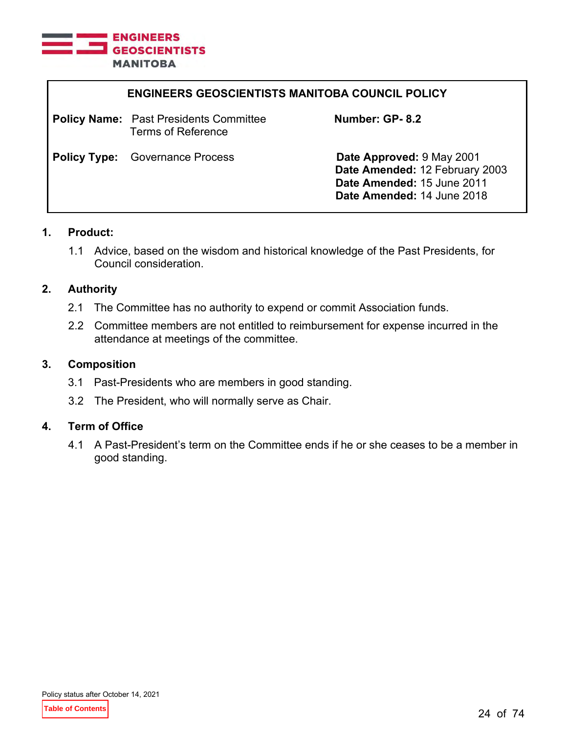

| <b>ENGINEERS GEOSCIENTISTS MANITOBA COUNCIL POLICY</b>                     |                                                                                                                         |
|----------------------------------------------------------------------------|-------------------------------------------------------------------------------------------------------------------------|
| <b>Policy Name:</b> Past Presidents Committee<br><b>Terms of Reference</b> | Number: GP-8.2                                                                                                          |
| <b>Policy Type:</b> Governance Process                                     | Date Approved: 9 May 2001<br>Date Amended: 12 February 2003<br>Date Amended: 15 June 2011<br>Date Amended: 14 June 2018 |

1.1 Advice, based on the wisdom and historical knowledge of the Past Presidents, for Council consideration.

#### **2. Authority**

- 2.1 The Committee has no authority to expend or commit Association funds.
- 2.2 Committee members are not entitled to reimbursement for expense incurred in the attendance at meetings of the committee.

#### **3. Composition**

- 3.1 Past-Presidents who are members in good standing.
- 3.2 The President, who will normally serve as Chair.

# **4. Term of Office**

4.1 A Past-President's term on the Committee ends if he or she ceases to be a member in good standing.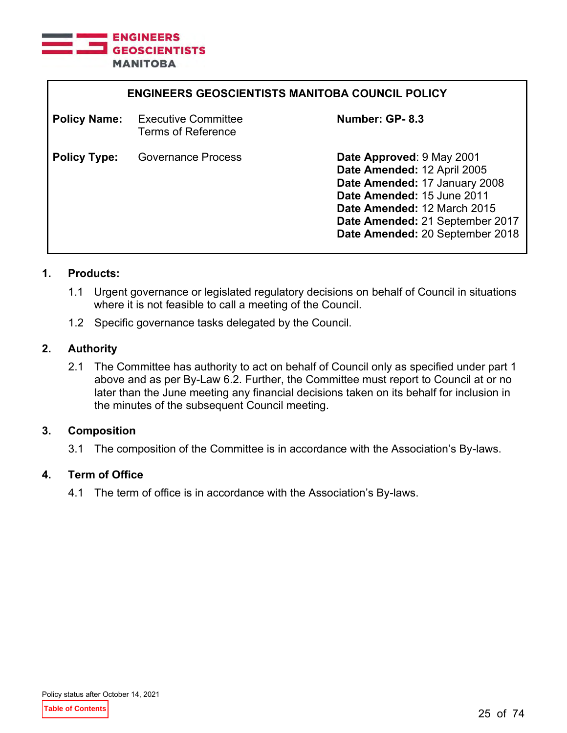

| <b>ENGINEERS GEOSCIENTISTS MANITOBA COUNCIL POLICY</b> |                                                         |                                                                                                                                                                                                                              |
|--------------------------------------------------------|---------------------------------------------------------|------------------------------------------------------------------------------------------------------------------------------------------------------------------------------------------------------------------------------|
| <b>Policy Name:</b>                                    | <b>Executive Committee</b><br><b>Terms of Reference</b> | Number: GP-8.3                                                                                                                                                                                                               |
| <b>Policy Type:</b>                                    | <b>Governance Process</b>                               | Date Approved: 9 May 2001<br>Date Amended: 12 April 2005<br>Date Amended: 17 January 2008<br>Date Amended: 15 June 2011<br>Date Amended: 12 March 2015<br>Date Amended: 21 September 2017<br>Date Amended: 20 September 2018 |

- 1.1 Urgent governance or legislated regulatory decisions on behalf of Council in situations where it is not feasible to call a meeting of the Council.
- 1.2 Specific governance tasks delegated by the Council.

#### **2. Authority**

2.1 The Committee has authority to act on behalf of Council only as specified under part 1 above and as per By-Law 6.2. Further, the Committee must report to Council at or no later than the June meeting any financial decisions taken on its behalf for inclusion in the minutes of the subsequent Council meeting.

#### **3. Composition**

3.1 The composition of the Committee is in accordance with the Association's By-laws.

#### **4. Term of Office**

4.1 The term of office is in accordance with the Association's By-laws.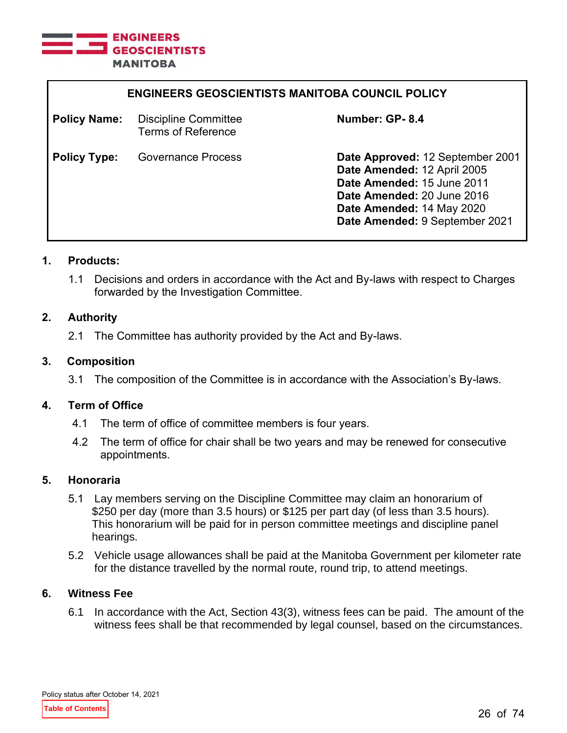

| <b>ENGINEERS GEOSCIENTISTS MANITOBA COUNCIL POLICY</b> |                                                   |                                                                                                                                                                                            |
|--------------------------------------------------------|---------------------------------------------------|--------------------------------------------------------------------------------------------------------------------------------------------------------------------------------------------|
| <b>Policy Name:</b>                                    | Discipline Committee<br><b>Terms of Reference</b> | Number: GP-8.4                                                                                                                                                                             |
| <b>Policy Type:</b>                                    | <b>Governance Process</b>                         | Date Approved: 12 September 2001<br>Date Amended: 12 April 2005<br>Date Amended: 15 June 2011<br>Date Amended: 20 June 2016<br>Date Amended: 14 May 2020<br>Date Amended: 9 September 2021 |

1.1 Decisions and orders in accordance with the Act and By-laws with respect to Charges forwarded by the Investigation Committee.

# **2. Authority**

2.1 The Committee has authority provided by the Act and By-laws.

#### **3. Composition**

3.1 The composition of the Committee is in accordance with the Association's By-laws.

#### **4. Term of Office**

- 4.1 The term of office of committee members is four years.
- 4.2 The term of office for chair shall be two years and may be renewed for consecutive appointments.

#### **5. Honoraria**

- 5.1 Lay members serving on the Discipline Committee may claim an honorarium of \$250 per day (more than 3.5 hours) or \$125 per part day (of less than 3.5 hours). This honorarium will be paid for in person committee meetings and discipline panel hearings.
- 5.2 Vehicle usage allowances shall be paid at the Manitoba Government per kilometer rate for the distance travelled by the normal route, round trip, to attend meetings.

# **6. Witness Fee**

6.1 In accordance with the Act, Section 43(3), witness fees can be paid. The amount of the witness fees shall be that recommended by legal counsel, based on the circumstances.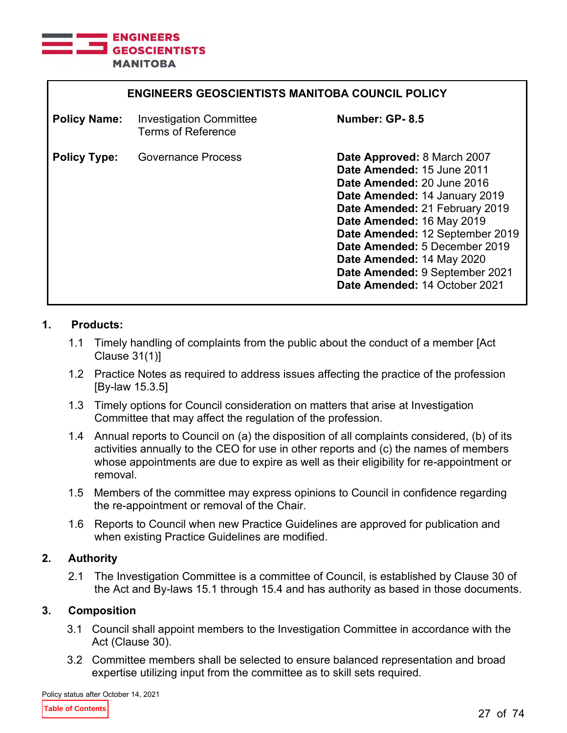

| <b>ENGINEERS GEOSCIENTISTS MANITOBA COUNCIL POLICY</b> |                                                             |                                                                                                                                                                                                                                                                                                                                                             |
|--------------------------------------------------------|-------------------------------------------------------------|-------------------------------------------------------------------------------------------------------------------------------------------------------------------------------------------------------------------------------------------------------------------------------------------------------------------------------------------------------------|
| <b>Policy Name:</b>                                    | <b>Investigation Committee</b><br><b>Terms of Reference</b> | Number: GP-8.5                                                                                                                                                                                                                                                                                                                                              |
| <b>Policy Type:</b>                                    | Governance Process                                          | Date Approved: 8 March 2007<br>Date Amended: 15 June 2011<br>Date Amended: 20 June 2016<br>Date Amended: 14 January 2019<br>Date Amended: 21 February 2019<br>Date Amended: 16 May 2019<br>Date Amended: 12 September 2019<br>Date Amended: 5 December 2019<br>Date Amended: 14 May 2020<br>Date Amended: 9 September 2021<br>Date Amended: 14 October 2021 |

- 1.1 Timely handling of complaints from the public about the conduct of a member [Act Clause 31(1)]
- 1.2 Practice Notes as required to address issues affecting the practice of the profession [By-law 15.3.5]
- 1.3 Timely options for Council consideration on matters that arise at Investigation Committee that may affect the regulation of the profession.
- 1.4 Annual reports to Council on (a) the disposition of all complaints considered, (b) of its activities annually to the CEO for use in other reports and (c) the names of members whose appointments are due to expire as well as their eligibility for re-appointment or removal.
- 1.5 Members of the committee may express opinions to Council in confidence regarding the re-appointment or removal of the Chair.
- 1.6 Reports to Council when new Practice Guidelines are approved for publication and when existing Practice Guidelines are modified.

# **2. Authority**

2.1 The Investigation Committee is a committee of Council, is established by Clause 30 of the Act and By-laws 15.1 through 15.4 and has authority as based in those documents.

# **3. Composition**

- 3.1 Council shall appoint members to the Investigation Committee in accordance with the Act (Clause 30).
- 3.2 Committee members shall be selected to ensure balanced representation and broad expertise utilizing input from the committee as to skill sets required.

Policy status after October 14, 2021

**Table of Contents**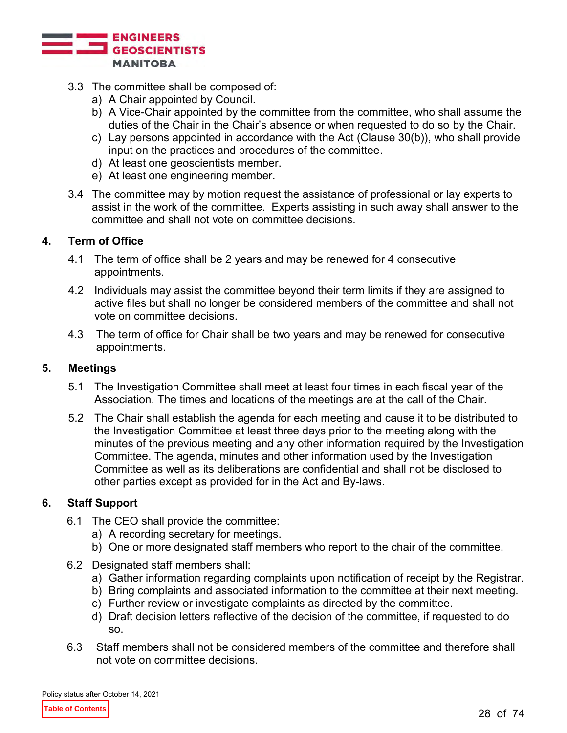

- 3.3 The committee shall be composed of:
	- a) A Chair appointed by Council.
	- b) A Vice-Chair appointed by the committee from the committee, who shall assume the duties of the Chair in the Chair's absence or when requested to do so by the Chair.
	- c) Lay persons appointed in accordance with the Act (Clause 30(b)), who shall provide input on the practices and procedures of the committee.
	- d) At least one geoscientists member.
	- e) At least one engineering member.
- 3.4 The committee may by motion request the assistance of professional or lay experts to assist in the work of the committee. Experts assisting in such away shall answer to the committee and shall not vote on committee decisions.

#### **4. Term of Office**

- 4.1 The term of office shall be 2 years and may be renewed for 4 consecutive appointments.
- 4.2 Individuals may assist the committee beyond their term limits if they are assigned to active files but shall no longer be considered members of the committee and shall not vote on committee decisions.
- 4.3 The term of office for Chair shall be two years and may be renewed for consecutive appointments.

#### **5. Meetings**

- 5.1 The Investigation Committee shall meet at least four times in each fiscal year of the Association. The times and locations of the meetings are at the call of the Chair.
- 5.2 The Chair shall establish the agenda for each meeting and cause it to be distributed to the Investigation Committee at least three days prior to the meeting along with the minutes of the previous meeting and any other information required by the Investigation Committee. The agenda, minutes and other information used by the Investigation Committee as well as its deliberations are confidential and shall not be disclosed to other parties except as provided for in the Act and By-laws.

# **6. Staff Support**

- 6.1 The CEO shall provide the committee:
	- a) A recording secretary for meetings.
	- b) One or more designated staff members who report to the chair of the committee.
- 6.2 Designated staff members shall:
	- a) Gather information regarding complaints upon notification of receipt by the Registrar.
	- b) Bring complaints and associated information to the committee at their next meeting.
	- c) Further review or investigate complaints as directed by the committee.
	- d) Draft decision letters reflective of the decision of the committee, if requested to do so.
- 6.3 Staff members shall not be considered members of the committee and therefore shall not vote on committee decisions.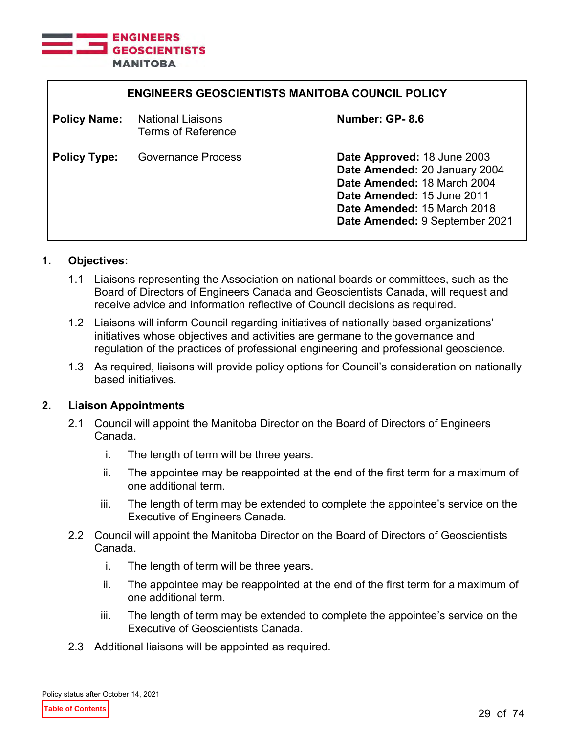

| <b>ENGINEERS GEOSCIENTISTS MANITOBA COUNCIL POLICY</b> |                                                |                                                                                                                                                                                            |
|--------------------------------------------------------|------------------------------------------------|--------------------------------------------------------------------------------------------------------------------------------------------------------------------------------------------|
| <b>Policy Name:</b>                                    | <b>National Liaisons</b><br>Terms of Reference | Number: GP-8.6                                                                                                                                                                             |
| <b>Policy Type:</b>                                    | <b>Governance Process</b>                      | Date Approved: 18 June 2003<br>Date Amended: 20 January 2004<br>Date Amended: 18 March 2004<br>Date Amended: 15 June 2011<br>Date Amended: 15 March 2018<br>Date Amended: 9 September 2021 |

# **1. Objectives:**

- 1.1 Liaisons representing the Association on national boards or committees, such as the Board of Directors of Engineers Canada and Geoscientists Canada, will request and receive advice and information reflective of Council decisions as required.
- 1.2 Liaisons will inform Council regarding initiatives of nationally based organizations' initiatives whose objectives and activities are germane to the governance and regulation of the practices of professional engineering and professional geoscience.
- 1.3 As required, liaisons will provide policy options for Council's consideration on nationally based initiatives.

#### **2. Liaison Appointments**

- 2.1 Council will appoint the Manitoba Director on the Board of Directors of Engineers Canada.
	- i. The length of term will be three years.
	- ii. The appointee may be reappointed at the end of the first term for a maximum of one additional term.
	- iii. The length of term may be extended to complete the appointee's service on the Executive of Engineers Canada.
- 2.2 Council will appoint the Manitoba Director on the Board of Directors of Geoscientists Canada.
	- i. The length of term will be three years.
	- ii. The appointee may be reappointed at the end of the first term for a maximum of one additional term.
	- iii. The length of term may be extended to complete the appointee's service on the Executive of Geoscientists Canada.
- 2.3 Additional liaisons will be appointed as required.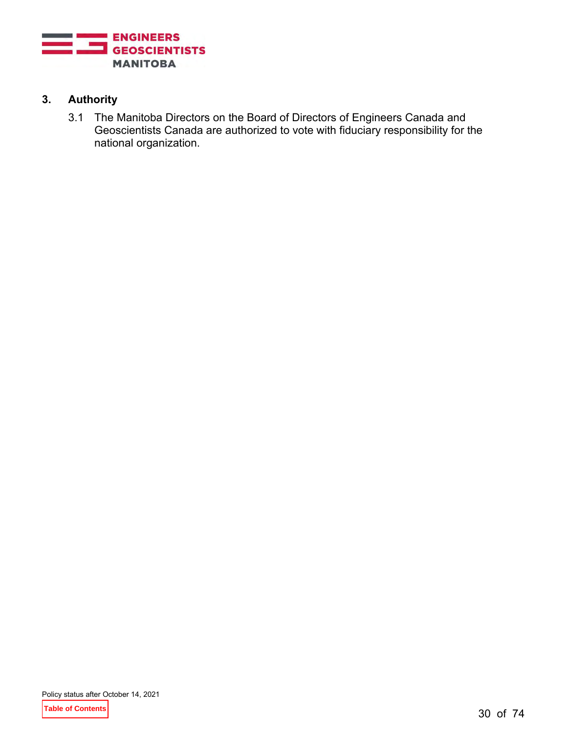

# **3. Authority**

3.1 The Manitoba Directors on the Board of Directors of Engineers Canada and Geoscientists Canada are authorized to vote with fiduciary responsibility for the national organization.

**Table of Contents**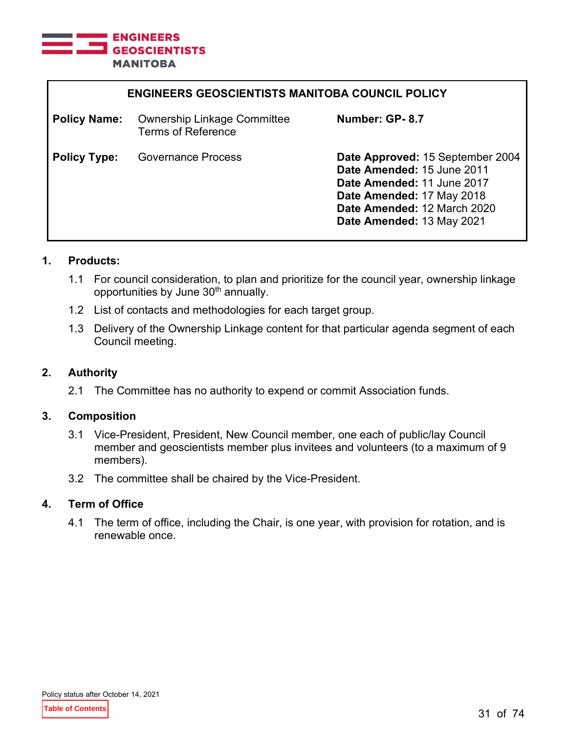

| <b>ENGINEERS GEOSCIENTISTS MANITOBA COUNCIL POLICY</b> |                                                                 |                                                                                                                                                                                       |
|--------------------------------------------------------|-----------------------------------------------------------------|---------------------------------------------------------------------------------------------------------------------------------------------------------------------------------------|
| <b>Policy Name:</b>                                    | <b>Ownership Linkage Committee</b><br><b>Terms of Reference</b> | Number: GP-8.7                                                                                                                                                                        |
| <b>Policy Type:</b>                                    | <b>Governance Process</b>                                       | Date Approved: 15 September 2004<br>Date Amended: 15 June 2011<br>Date Amended: 11 June 2017<br>Date Amended: 17 May 2018<br>Date Amended: 12 March 2020<br>Date Amended: 13 May 2021 |

- 1.1 For council consideration, to plan and prioritize for the council year, ownership linkage opportunities by June 30<sup>th</sup> annually.
- 1.2 List of contacts and methodologies for each target group.
- 1.3 Delivery of the Ownership Linkage content for that particular agenda segment of each Council meeting.

# **2. Authority**

2.1 The Committee has no authority to expend or commit Association funds.

# **3. Composition**

- 3.1 Vice-President, President, New Council member, one each of public/lay Council member and geoscientists member plus invitees and volunteers (to a maximum of 9 members).
- 3.2 The committee shall be chaired by the Vice-President.

# **4. Term of Office**

4.1 The term of office, including the Chair, is one year, with provision for rotation, and is renewable once.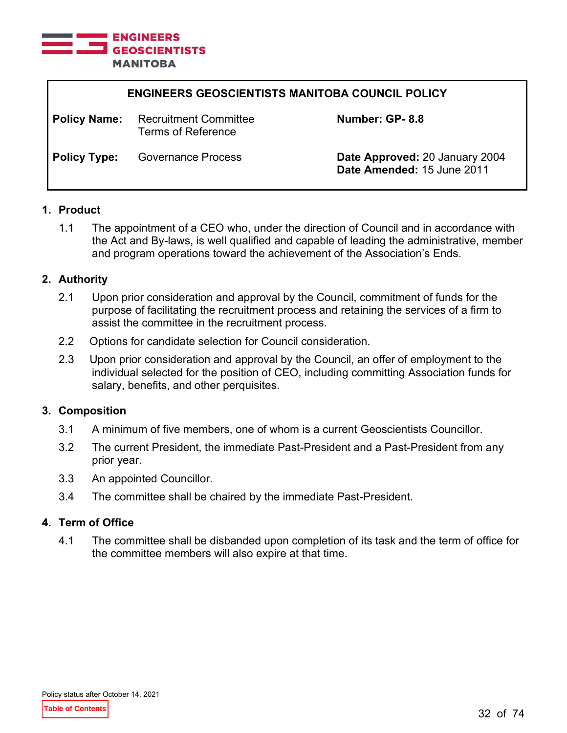

| <b>ENGINEERS GEOSCIENTISTS MANITOBA COUNCIL POLICY</b> |                                             |                                                              |
|--------------------------------------------------------|---------------------------------------------|--------------------------------------------------------------|
| <b>Policy Name:</b>                                    | Recruitment Committee<br>Terms of Reference | Number: GP-8.8                                               |
| <b>Policy Type:</b>                                    | <b>Governance Process</b>                   | Date Approved: 20 January 2004<br>Date Amended: 15 June 2011 |

# **1. Product**

1.1 The appointment of a CEO who, under the direction of Council and in accordance with the Act and By-laws, is well qualified and capable of leading the administrative, member and program operations toward the achievement of the Association's Ends.

#### **2. Authority**

- 2.1 Upon prior consideration and approval by the Council, commitment of funds for the purpose of facilitating the recruitment process and retaining the services of a firm to assist the committee in the recruitment process.
- 2.2 Options for candidate selection for Council consideration.
- 2.3 Upon prior consideration and approval by the Council, an offer of employment to the individual selected for the position of CEO, including committing Association funds for salary, benefits, and other perquisites.

# **3. Composition**

- 3.1 A minimum of five members, one of whom is a current Geoscientists Councillor.
- 3.2 The current President, the immediate Past-President and a Past-President from any prior year.
- 3.3 An appointed Councillor.
- 3.4 The committee shall be chaired by the immediate Past-President.

#### **4. Term of Office**

4.1 The committee shall be disbanded upon completion of its task and the term of office for the committee members will also expire at that time.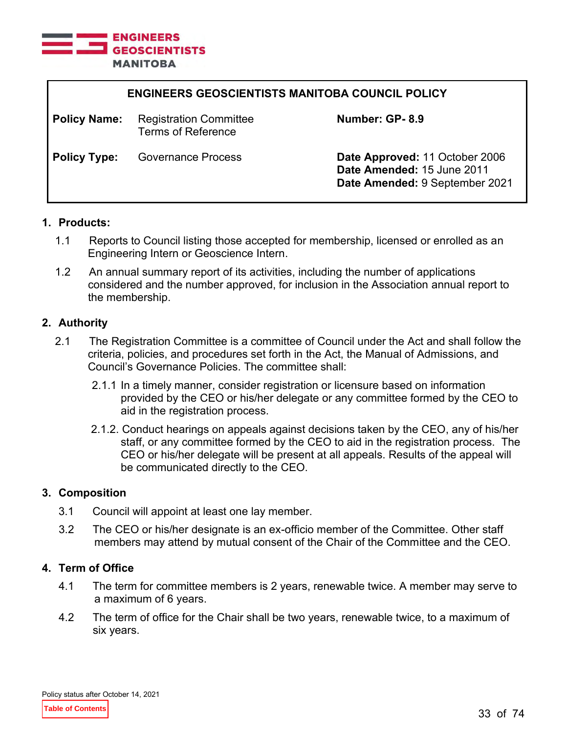

| <b>ENGINEERS GEOSCIENTISTS MANITOBA COUNCIL POLICY</b> |                                                     |                                                                                                |
|--------------------------------------------------------|-----------------------------------------------------|------------------------------------------------------------------------------------------------|
| <b>Policy Name:</b>                                    | <b>Registration Committee</b><br>Terms of Reference | Number: GP-8.9                                                                                 |
| <b>Policy Type:</b>                                    | <b>Governance Process</b>                           | Date Approved: 11 October 2006<br>Date Amended: 15 June 2011<br>Date Amended: 9 September 2021 |

- 1.1 Reports to Council listing those accepted for membership, licensed or enrolled as an Engineering Intern or Geoscience Intern.
- 1.2 An annual summary report of its activities, including the number of applications considered and the number approved, for inclusion in the Association annual report to the membership.

#### **2. Authority**

- 2.1 The Registration Committee is a committee of Council under the Act and shall follow the criteria, policies, and procedures set forth in the Act, the Manual of Admissions, and Council's Governance Policies. The committee shall:
	- 2.1.1 In a timely manner, consider registration or licensure based on information provided by the CEO or his/her delegate or any committee formed by the CEO to aid in the registration process.
	- 2.1.2. Conduct hearings on appeals against decisions taken by the CEO, any of his/her staff, or any committee formed by the CEO to aid in the registration process. The CEO or his/her delegate will be present at all appeals. Results of the appeal will be communicated directly to the CEO.

#### **3. Composition**

- 3.1 Council will appoint at least one lay member.
- 3.2 The CEO or his/her designate is an ex-officio member of the Committee. Other staff members may attend by mutual consent of the Chair of the Committee and the CEO.

# **4. Term of Office**

- 4.1 The term for committee members is 2 years, renewable twice. A member may serve to a maximum of 6 years.
- 4.2 The term of office for the Chair shall be two years, renewable twice, to a maximum of six years.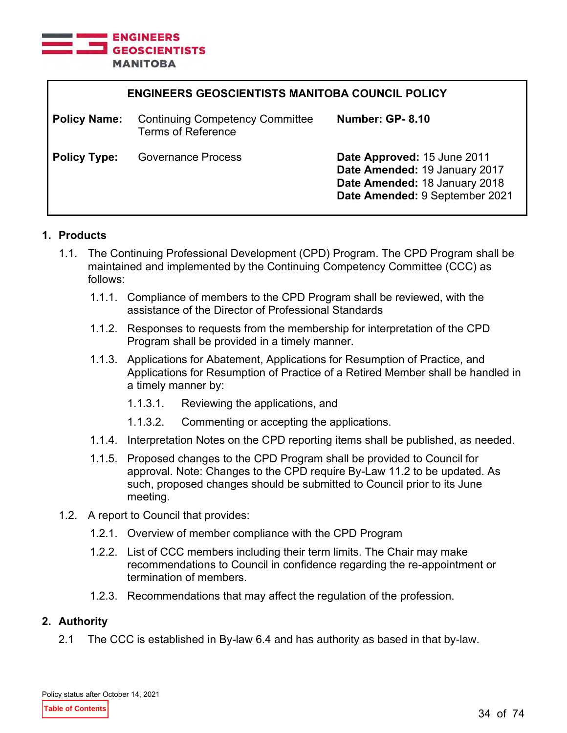

| <b>ENGINEERS GEOSCIENTISTS MANITOBA COUNCIL POLICY</b> |                                                                     |                                                                                                                                 |  |
|--------------------------------------------------------|---------------------------------------------------------------------|---------------------------------------------------------------------------------------------------------------------------------|--|
| <b>Policy Name:</b>                                    | <b>Continuing Competency Committee</b><br><b>Terms of Reference</b> | <b>Number: GP-8.10</b>                                                                                                          |  |
| <b>Policy Type:</b>                                    | <b>Governance Process</b>                                           | Date Approved: 15 June 2011<br>Date Amended: 19 January 2017<br>Date Amended: 18 January 2018<br>Date Amended: 9 September 2021 |  |

- 1.1. The Continuing Professional Development (CPD) Program. The CPD Program shall be maintained and implemented by the Continuing Competency Committee (CCC) as follows:
	- 1.1.1. Compliance of members to the CPD Program shall be reviewed, with the assistance of the Director of Professional Standards
	- 1.1.2. Responses to requests from the membership for interpretation of the CPD Program shall be provided in a timely manner.
	- 1.1.3. Applications for Abatement, Applications for Resumption of Practice, and Applications for Resumption of Practice of a Retired Member shall be handled in a timely manner by:
		- 1.1.3.1. Reviewing the applications, and
		- 1.1.3.2. Commenting or accepting the applications.
	- 1.1.4. Interpretation Notes on the CPD reporting items shall be published, as needed.
	- 1.1.5. Proposed changes to the CPD Program shall be provided to Council for approval. Note: Changes to the CPD require By-Law 11.2 to be updated. As such, proposed changes should be submitted to Council prior to its June meeting.
- 1.2. A report to Council that provides:
	- 1.2.1. Overview of member compliance with the CPD Program
	- 1.2.2. List of CCC members including their term limits. The Chair may make recommendations to Council in confidence regarding the re-appointment or termination of members.
	- 1.2.3. Recommendations that may affect the regulation of the profession.

# **2. Authority**

2.1 The CCC is established in By-law 6.4 and has authority as based in that by-law.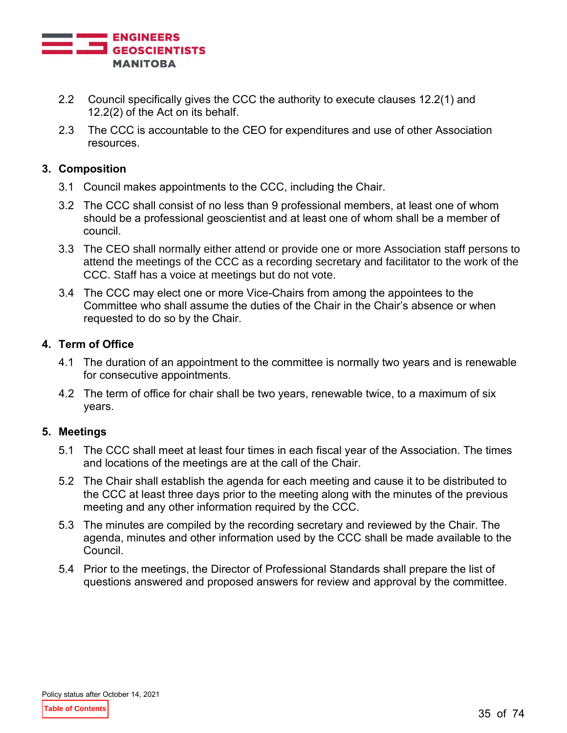

- 2.2 Council specifically gives the CCC the authority to execute clauses 12.2(1) and 12.2(2) of the Act on its behalf.
- 2.3 The CCC is accountable to the CEO for expenditures and use of other Association resources.

# **3. Composition**

- 3.1 Council makes appointments to the CCC, including the Chair.
- 3.2 The CCC shall consist of no less than 9 professional members, at least one of whom should be a professional geoscientist and at least one of whom shall be a member of council.
- 3.3 The CEO shall normally either attend or provide one or more Association staff persons to attend the meetings of the CCC as a recording secretary and facilitator to the work of the CCC. Staff has a voice at meetings but do not vote.
- 3.4 The CCC may elect one or more Vice-Chairs from among the appointees to the Committee who shall assume the duties of the Chair in the Chair's absence or when requested to do so by the Chair.

# **4. Term of Office**

- 4.1 The duration of an appointment to the committee is normally two years and is renewable for consecutive appointments.
- 4.2 The term of office for chair shall be two years, renewable twice, to a maximum of six years.

# **5. Meetings**

- 5.1 The CCC shall meet at least four times in each fiscal year of the Association. The times and locations of the meetings are at the call of the Chair.
- 5.2 The Chair shall establish the agenda for each meeting and cause it to be distributed to the CCC at least three days prior to the meeting along with the minutes of the previous meeting and any other information required by the CCC.
- 5.3 The minutes are compiled by the recording secretary and reviewed by the Chair. The agenda, minutes and other information used by the CCC shall be made available to the Council.
- 5.4 Prior to the meetings, the Director of Professional Standards shall prepare the list of questions answered and proposed answers for review and approval by the committee.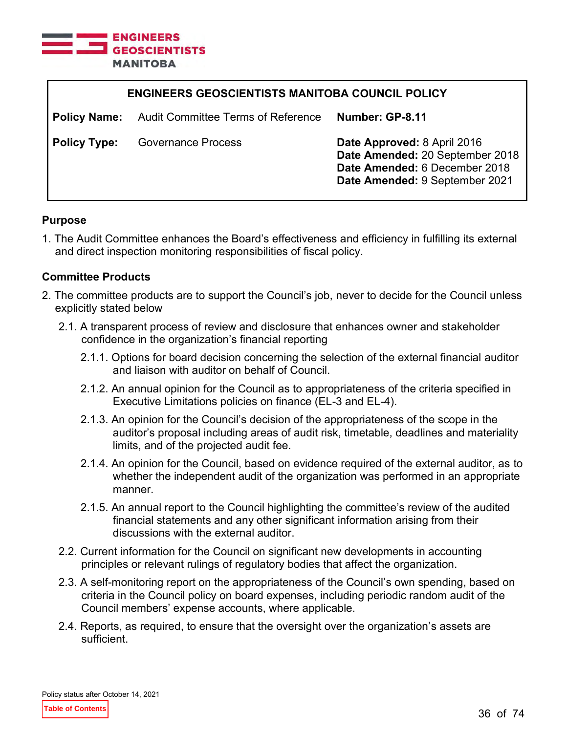

| <b>ENGINEERS GEOSCIENTISTS MANITOBA COUNCIL POLICY</b> |                                           |                                                                                                                                   |  |
|--------------------------------------------------------|-------------------------------------------|-----------------------------------------------------------------------------------------------------------------------------------|--|
| <b>Policy Name:</b>                                    | <b>Audit Committee Terms of Reference</b> | Number: GP-8.11                                                                                                                   |  |
| <b>Policy Type:</b>                                    | <b>Governance Process</b>                 | Date Approved: 8 April 2016<br>Date Amended: 20 September 2018<br>Date Amended: 6 December 2018<br>Date Amended: 9 September 2021 |  |

#### **Purpose**

1. The Audit Committee enhances the Board's effectiveness and efficiency in fulfilling its external and direct inspection monitoring responsibilities of fiscal policy.

#### **Committee Products**

- 2. The committee products are to support the Council's job, never to decide for the Council unless explicitly stated below
	- 2.1. A transparent process of review and disclosure that enhances owner and stakeholder confidence in the organization's financial reporting
		- 2.1.1. Options for board decision concerning the selection of the external financial auditor and liaison with auditor on behalf of Council.
		- 2.1.2. An annual opinion for the Council as to appropriateness of the criteria specified in Executive Limitations policies on finance (EL-3 and EL-4).
		- 2.1.3. An opinion for the Council's decision of the appropriateness of the scope in the auditor's proposal including areas of audit risk, timetable, deadlines and materiality limits, and of the projected audit fee.
		- 2.1.4. An opinion for the Council, based on evidence required of the external auditor, as to whether the independent audit of the organization was performed in an appropriate manner.
		- 2.1.5. An annual report to the Council highlighting the committee's review of the audited financial statements and any other significant information arising from their discussions with the external auditor.
	- 2.2. Current information for the Council on significant new developments in accounting principles or relevant rulings of regulatory bodies that affect the organization.
	- 2.3. A self-monitoring report on the appropriateness of the Council's own spending, based on criteria in the Council policy on board expenses, including periodic random audit of the Council members' expense accounts, where applicable.
	- 2.4. Reports, as required, to ensure that the oversight over the organization's assets are sufficient.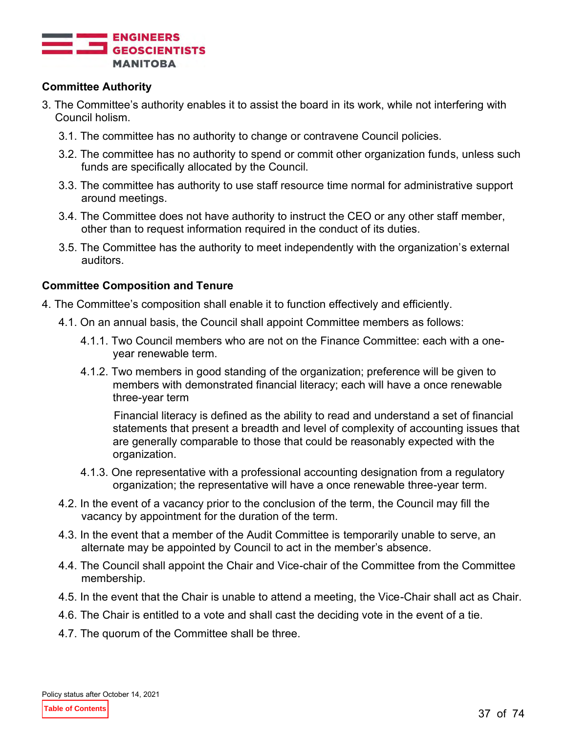

## **Committee Authority**

- 3. The Committee's authority enables it to assist the board in its work, while not interfering with Council holism.
	- 3.1. The committee has no authority to change or contravene Council policies.
	- 3.2. The committee has no authority to spend or commit other organization funds, unless such funds are specifically allocated by the Council.
	- 3.3. The committee has authority to use staff resource time normal for administrative support around meetings.
	- 3.4. The Committee does not have authority to instruct the CEO or any other staff member, other than to request information required in the conduct of its duties.
	- 3.5. The Committee has the authority to meet independently with the organization's external auditors.

## **Committee Composition and Tenure**

- 4. The Committee's composition shall enable it to function effectively and efficiently.
	- 4.1. On an annual basis, the Council shall appoint Committee members as follows:
		- 4.1.1. Two Council members who are not on the Finance Committee: each with a oneyear renewable term.
		- 4.1.2. Two members in good standing of the organization; preference will be given to members with demonstrated financial literacy; each will have a once renewable three-year term

Financial literacy is defined as the ability to read and understand a set of financial statements that present a breadth and level of complexity of accounting issues that are generally comparable to those that could be reasonably expected with the organization.

- 4.1.3. One representative with a professional accounting designation from a regulatory organization; the representative will have a once renewable three-year term.
- 4.2. In the event of a vacancy prior to the conclusion of the term, the Council may fill the vacancy by appointment for the duration of the term.
- 4.3. In the event that a member of the Audit Committee is temporarily unable to serve, an alternate may be appointed by Council to act in the member's absence.
- 4.4. The Council shall appoint the Chair and Vice-chair of the Committee from the Committee membership.
- 4.5. In the event that the Chair is unable to attend a meeting, the Vice-Chair shall act as Chair.
- 4.6. The Chair is entitled to a vote and shall cast the deciding vote in the event of a tie.
- 4.7. The quorum of the Committee shall be three.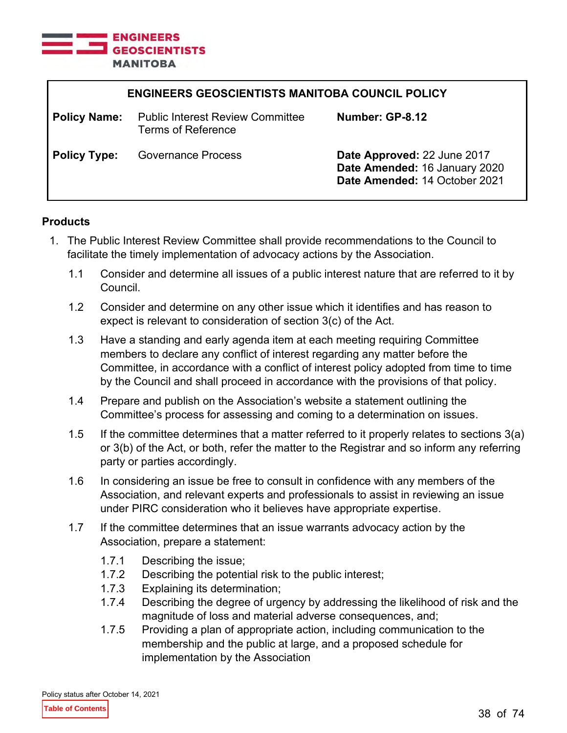

| <b>ENGINEERS GEOSCIENTISTS MANITOBA COUNCIL POLICY</b> |                                                                      |                                                                                               |
|--------------------------------------------------------|----------------------------------------------------------------------|-----------------------------------------------------------------------------------------------|
| <b>Policy Name:</b>                                    | <b>Public Interest Review Committee</b><br><b>Terms of Reference</b> | Number: GP-8.12                                                                               |
| <b>Policy Type:</b>                                    | <b>Governance Process</b>                                            | Date Approved: 22 June 2017<br>Date Amended: 16 January 2020<br>Date Amended: 14 October 2021 |

## **Products**

- 1. The Public Interest Review Committee shall provide recommendations to the Council to facilitate the timely implementation of advocacy actions by the Association.
	- 1.1 Consider and determine all issues of a public interest nature that are referred to it by Council.
	- 1.2 Consider and determine on any other issue which it identifies and has reason to expect is relevant to consideration of section 3(c) of the Act.
	- 1.3 Have a standing and early agenda item at each meeting requiring Committee members to declare any conflict of interest regarding any matter before the Committee, in accordance with a conflict of interest policy adopted from time to time by the Council and shall proceed in accordance with the provisions of that policy.
	- 1.4 Prepare and publish on the Association's website a statement outlining the Committee's process for assessing and coming to a determination on issues.
	- 1.5 If the committee determines that a matter referred to it properly relates to sections 3(a) or 3(b) of the Act, or both, refer the matter to the Registrar and so inform any referring party or parties accordingly.
	- 1.6 In considering an issue be free to consult in confidence with any members of the Association, and relevant experts and professionals to assist in reviewing an issue under PIRC consideration who it believes have appropriate expertise.
	- 1.7 If the committee determines that an issue warrants advocacy action by the Association, prepare a statement:
		- 1.7.1 Describing the issue;
		- 1.7.2 Describing the potential risk to the public interest;
		- 1.7.3 Explaining its determination;
		- 1.7.4 Describing the degree of urgency by addressing the likelihood of risk and the magnitude of loss and material adverse consequences, and;
		- 1.7.5 Providing a plan of appropriate action, including communication to the membership and the public at large, and a proposed schedule for implementation by the Association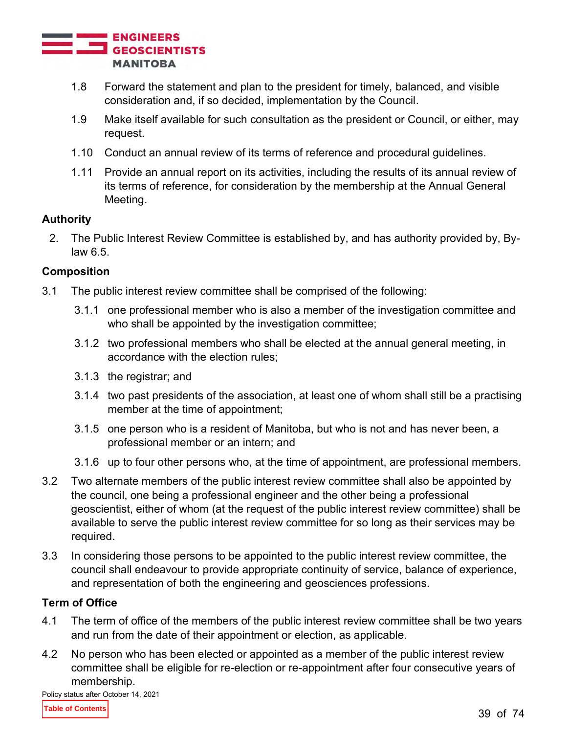

- 1.8 Forward the statement and plan to the president for timely, balanced, and visible consideration and, if so decided, implementation by the Council.
- 1.9 Make itself available for such consultation as the president or Council, or either, may request.
- 1.10 Conduct an annual review of its terms of reference and procedural guidelines.
- 1.11 Provide an annual report on its activities, including the results of its annual review of its terms of reference, for consideration by the membership at the Annual General Meeting.

## **Authority**

2. The Public Interest Review Committee is established by, and has authority provided by, Bylaw 6.5.

## **Composition**

- 3.1 The public interest review committee shall be comprised of the following:
	- 3.1.1 one professional member who is also a member of the investigation committee and who shall be appointed by the investigation committee;
	- 3.1.2 two professional members who shall be elected at the annual general meeting, in accordance with the election rules;
	- 3.1.3 the registrar; and
	- 3.1.4 two past presidents of the association, at least one of whom shall still be a practising member at the time of appointment;
	- 3.1.5 one person who is a resident of Manitoba, but who is not and has never been, a professional member or an intern; and
	- 3.1.6 up to four other persons who, at the time of appointment, are professional members.
- 3.2 Two alternate members of the public interest review committee shall also be appointed by the council, one being a professional engineer and the other being a professional geoscientist, either of whom (at the request of the public interest review committee) shall be available to serve the public interest review committee for so long as their services may be required.
- 3.3 In considering those persons to be appointed to the public interest review committee, the council shall endeavour to provide appropriate continuity of service, balance of experience, and representation of both the engineering and geosciences professions.

## **Term of Office**

- 4.1 The term of office of the members of the public interest review committee shall be two years and run from the date of their appointment or election, as applicable.
- 4.2 No person who has been elected or appointed as a member of the public interest review committee shall be eligible for re-election or re-appointment after four consecutive years of membership.

Policy status after October 14, 2021

**Table of Contents**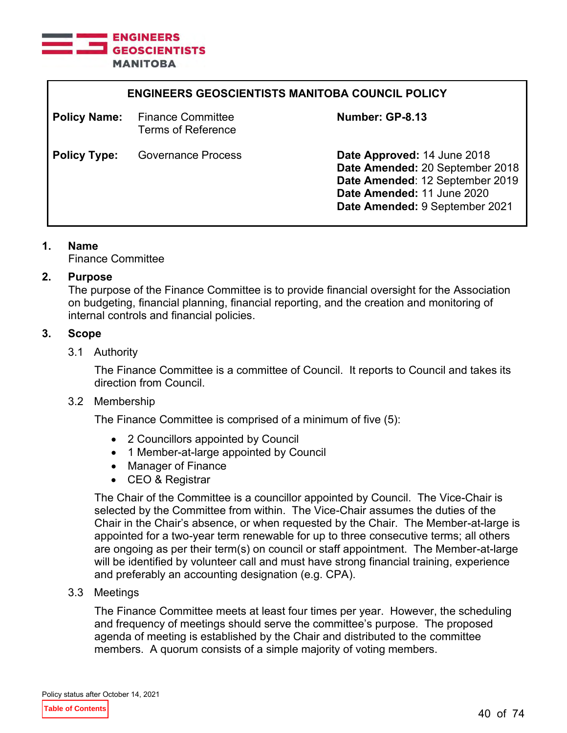

| <b>ENGINEERS GEOSCIENTISTS MANITOBA COUNCIL POLICY</b> |                                                       |                                                                                                                                                                   |
|--------------------------------------------------------|-------------------------------------------------------|-------------------------------------------------------------------------------------------------------------------------------------------------------------------|
| <b>Policy Name:</b>                                    | <b>Finance Committee</b><br><b>Terms of Reference</b> | Number: GP-8.13                                                                                                                                                   |
| <b>Policy Type:</b>                                    | Governance Process                                    | Date Approved: 14 June 2018<br>Date Amended: 20 September 2018<br>Date Amended: 12 September 2019<br>Date Amended: 11 June 2020<br>Date Amended: 9 September 2021 |

## **1. Name**

Finance Committee

## **2. Purpose**

The purpose of the Finance Committee is to provide financial oversight for the Association on budgeting, financial planning, financial reporting, and the creation and monitoring of internal controls and financial policies.

# **3. Scope**

3.1 Authority

The Finance Committee is a committee of Council. It reports to Council and takes its direction from Council.

## 3.2 Membership

The Finance Committee is comprised of a minimum of five (5):

- 2 Councillors appointed by Council
- 1 Member-at-large appointed by Council
- Manager of Finance
- CEO & Registrar

The Chair of the Committee is a councillor appointed by Council. The Vice-Chair is selected by the Committee from within. The Vice-Chair assumes the duties of the Chair in the Chair's absence, or when requested by the Chair. The Member-at-large is appointed for a two-year term renewable for up to three consecutive terms; all others are ongoing as per their term(s) on council or staff appointment. The Member-at-large will be identified by volunteer call and must have strong financial training, experience and preferably an accounting designation (e.g. CPA).

3.3 Meetings

The Finance Committee meets at least four times per year. However, the scheduling and frequency of meetings should serve the committee's purpose. The proposed agenda of meeting is established by the Chair and distributed to the committee members. A quorum consists of a simple majority of voting members.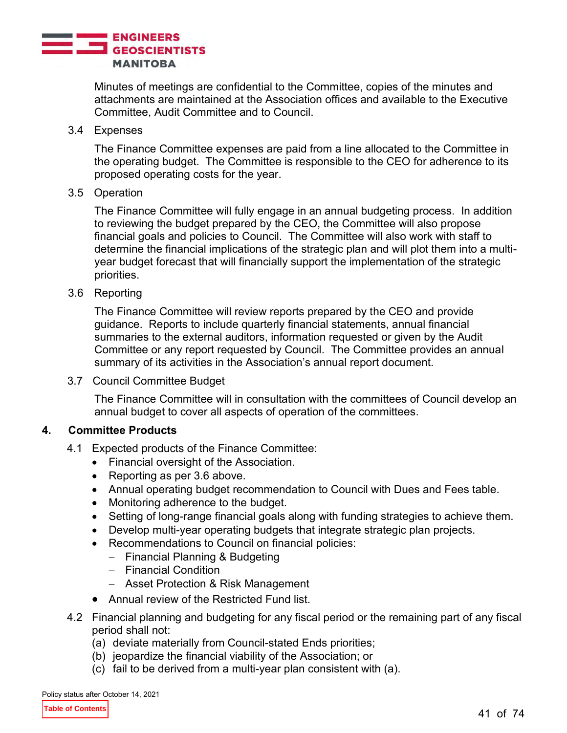

Minutes of meetings are confidential to the Committee, copies of the minutes and attachments are maintained at the Association offices and available to the Executive Committee, Audit Committee and to Council.

#### 3.4 Expenses

The Finance Committee expenses are paid from a line allocated to the Committee in the operating budget. The Committee is responsible to the CEO for adherence to its proposed operating costs for the year.

#### 3.5 Operation

The Finance Committee will fully engage in an annual budgeting process. In addition to reviewing the budget prepared by the CEO, the Committee will also propose financial goals and policies to Council. The Committee will also work with staff to determine the financial implications of the strategic plan and will plot them into a multiyear budget forecast that will financially support the implementation of the strategic priorities.

#### 3.6 Reporting

The Finance Committee will review reports prepared by the CEO and provide guidance. Reports to include quarterly financial statements, annual financial summaries to the external auditors, information requested or given by the Audit Committee or any report requested by Council. The Committee provides an annual summary of its activities in the Association's annual report document.

3.7 Council Committee Budget

The Finance Committee will in consultation with the committees of Council develop an annual budget to cover all aspects of operation of the committees.

## **4. Committee Products**

- 4.1 Expected products of the Finance Committee:
	- Financial oversight of the Association.
	- Reporting as per 3.6 above.
	- Annual operating budget recommendation to Council with Dues and Fees table.
	- Monitoring adherence to the budget.
	- Setting of long-range financial goals along with funding strategies to achieve them.
	- Develop multi-year operating budgets that integrate strategic plan projects.
	- Recommendations to Council on financial policies:
		- − Financial Planning & Budgeting
		- − Financial Condition
		- − Asset Protection & Risk Management
	- Annual review of the Restricted Fund list.
- 4.2 Financial planning and budgeting for any fiscal period or the remaining part of any fiscal period shall not:
	- (a) deviate materially from Council-stated Ends priorities;
	- (b) jeopardize the financial viability of the Association; or
	- (c) fail to be derived from a multi-year plan consistent with (a).

Policy status after October 14, 2021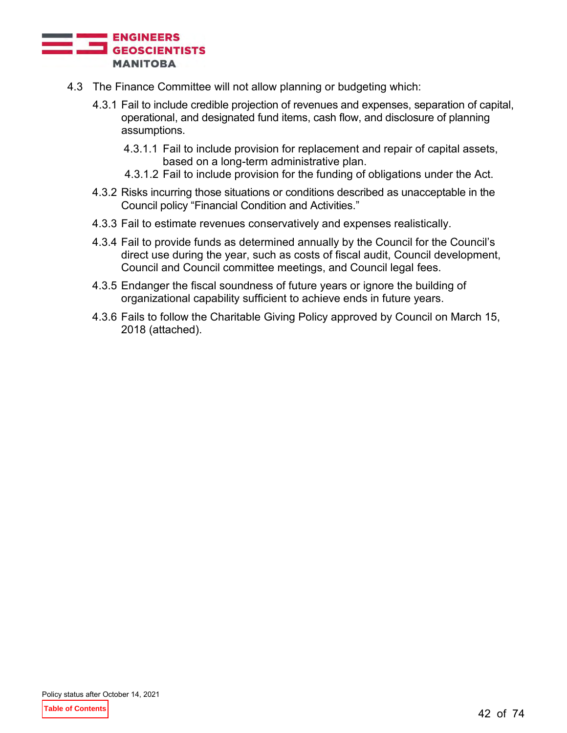

- 4.3 The Finance Committee will not allow planning or budgeting which:
	- 4.3.1 Fail to include credible projection of revenues and expenses, separation of capital, operational, and designated fund items, cash flow, and disclosure of planning assumptions.
		- 4.3.1.1 Fail to include provision for replacement and repair of capital assets, based on a long-term administrative plan.
		- 4.3.1.2 Fail to include provision for the funding of obligations under the Act.
	- 4.3.2 Risks incurring those situations or conditions described as unacceptable in the Council policy "Financial Condition and Activities."
	- 4.3.3 Fail to estimate revenues conservatively and expenses realistically.
	- 4.3.4 Fail to provide funds as determined annually by the Council for the Council's direct use during the year, such as costs of fiscal audit, Council development, Council and Council committee meetings, and Council legal fees.
	- 4.3.5 Endanger the fiscal soundness of future years or ignore the building of organizational capability sufficient to achieve ends in future years.
	- 4.3.6 Fails to follow the Charitable Giving Policy approved by Council on March 15, 2018 (attached).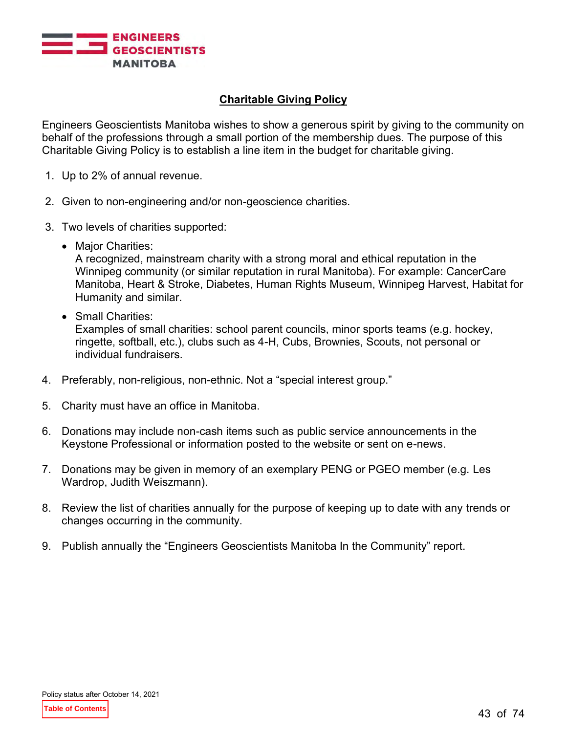

# **Charitable Giving Policy**

Engineers Geoscientists Manitoba wishes to show a generous spirit by giving to the community on behalf of the professions through a small portion of the membership dues. The purpose of this Charitable Giving Policy is to establish a line item in the budget for charitable giving.

- 1. Up to 2% of annual revenue.
- 2. Given to non-engineering and/or non-geoscience charities.
- 3. Two levels of charities supported:
	- Major Charities:

A recognized, mainstream charity with a strong moral and ethical reputation in the Winnipeg community (or similar reputation in rural Manitoba). For example: CancerCare Manitoba, Heart & Stroke, Diabetes, Human Rights Museum, Winnipeg Harvest, Habitat for Humanity and similar.

• Small Charities:

Examples of small charities: school parent councils, minor sports teams (e.g. hockey, ringette, softball, etc.), clubs such as 4-H, Cubs, Brownies, Scouts, not personal or individual fundraisers.

- 4. Preferably, non-religious, non-ethnic. Not a "special interest group."
- 5. Charity must have an office in Manitoba.
- 6. Donations may include non-cash items such as public service announcements in the Keystone Professional or information posted to the website or sent on e-news.
- 7. Donations may be given in memory of an exemplary PENG or PGEO member (e.g. Les Wardrop, Judith Weiszmann).
- 8. Review the list of charities annually for the purpose of keeping up to date with any trends or changes occurring in the community.
- 9. Publish annually the "Engineers Geoscientists Manitoba In the Community" report.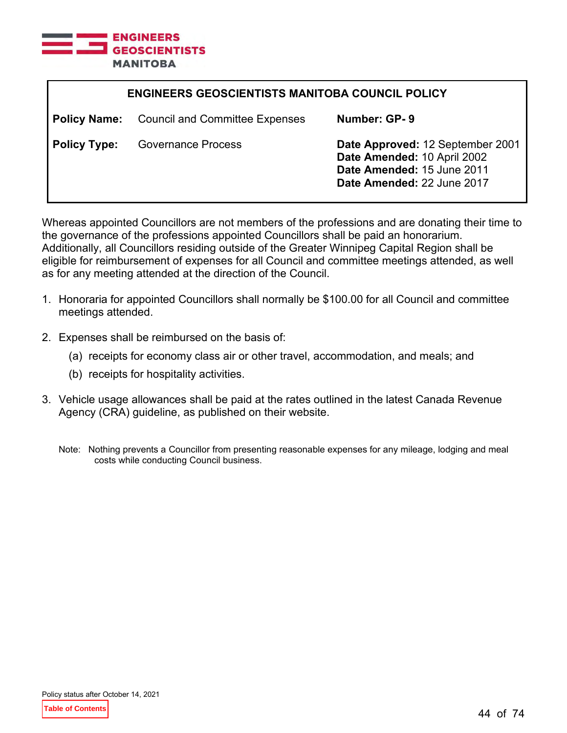

| <b>ENGINEERS GEOSCIENTISTS MANITOBA COUNCIL POLICY</b> |                                                    |                                                                                                                             |
|--------------------------------------------------------|----------------------------------------------------|-----------------------------------------------------------------------------------------------------------------------------|
|                                                        | <b>Policy Name:</b> Council and Committee Expenses | Number: GP-9                                                                                                                |
| <b>Policy Type:</b>                                    | <b>Governance Process</b>                          | Date Approved: 12 September 2001<br>Date Amended: 10 April 2002<br>Date Amended: 15 June 2011<br>Date Amended: 22 June 2017 |

Whereas appointed Councillors are not members of the professions and are donating their time to the governance of the professions appointed Councillors shall be paid an honorarium. Additionally, all Councillors residing outside of the Greater Winnipeg Capital Region shall be eligible for reimbursement of expenses for all Council and committee meetings attended, as well as for any meeting attended at the direction of the Council.

- 1. Honoraria for appointed Councillors shall normally be \$100.00 for all Council and committee meetings attended.
- 2. Expenses shall be reimbursed on the basis of:
	- (a) receipts for economy class air or other travel, accommodation, and meals; and
	- (b) receipts for hospitality activities.
- 3. Vehicle usage allowances shall be paid at the rates outlined in the latest Canada Revenue Agency (CRA) guideline, as published on their website.
	- Note: Nothing prevents a Councillor from presenting reasonable expenses for any mileage, lodging and meal costs while conducting Council business.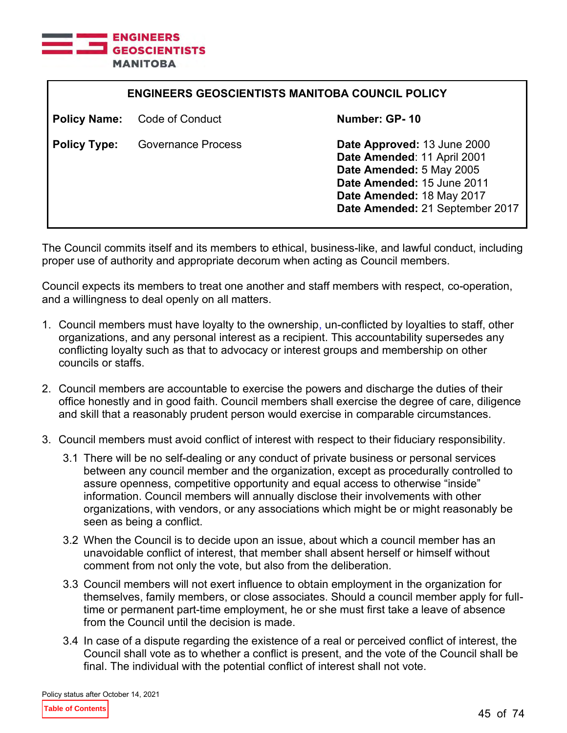

| <b>ENGINEERS GEOSCIENTISTS MANITOBA COUNCIL POLICY</b> |                        |                                                                                                                                                                                      |
|--------------------------------------------------------|------------------------|--------------------------------------------------------------------------------------------------------------------------------------------------------------------------------------|
| <b>Policy Name:</b>                                    | <b>Code of Conduct</b> | Number: GP-10                                                                                                                                                                        |
| <b>Policy Type:</b>                                    | Governance Process     | Date Approved: 13 June 2000<br>Date Amended: 11 April 2001<br>Date Amended: 5 May 2005<br>Date Amended: 15 June 2011<br>Date Amended: 18 May 2017<br>Date Amended: 21 September 2017 |

The Council commits itself and its members to ethical, business-like, and lawful conduct, including proper use of authority and appropriate decorum when acting as Council members.

Council expects its members to treat one another and staff members with respect, co-operation, and a willingness to deal openly on all matters.

- 1. Council members must have loyalty to the ownership, un-conflicted by loyalties to staff, other organizations, and any personal interest as a recipient. This accountability supersedes any conflicting loyalty such as that to advocacy or interest groups and membership on other councils or staffs.
- 2. Council members are accountable to exercise the powers and discharge the duties of their office honestly and in good faith. Council members shall exercise the degree of care, diligence and skill that a reasonably prudent person would exercise in comparable circumstances.
- 3. Council members must avoid conflict of interest with respect to their fiduciary responsibility.
	- 3.1 There will be no self-dealing or any conduct of private business or personal services between any council member and the organization, except as procedurally controlled to assure openness, competitive opportunity and equal access to otherwise "inside" information. Council members will annually disclose their involvements with other organizations, with vendors, or any associations which might be or might reasonably be seen as being a conflict.
	- 3.2 When the Council is to decide upon an issue, about which a council member has an unavoidable conflict of interest, that member shall absent herself or himself without comment from not only the vote, but also from the deliberation.
	- 3.3 Council members will not exert influence to obtain employment in the organization for themselves, family members, or close associates. Should a council member apply for fulltime or permanent part-time employment, he or she must first take a leave of absence from the Council until the decision is made.
	- 3.4 In case of a dispute regarding the existence of a real or perceived conflict of interest, the Council shall vote as to whether a conflict is present, and the vote of the Council shall be final. The individual with the potential conflict of interest shall not vote.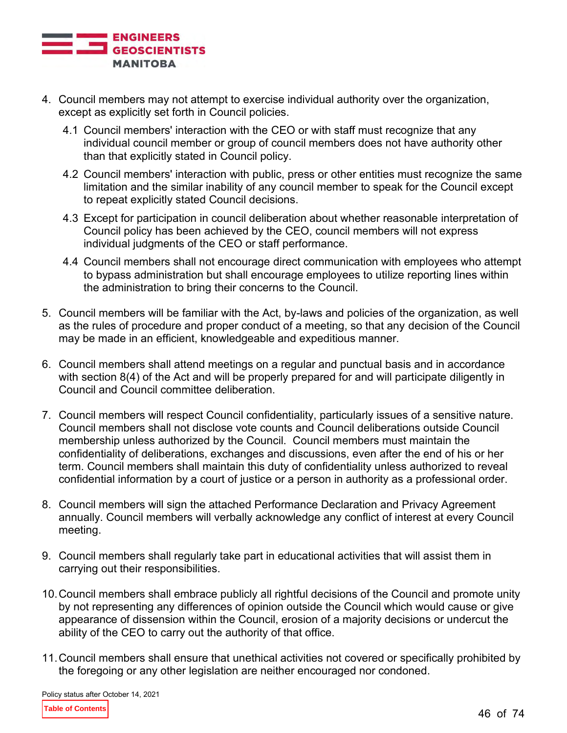

- 4. Council members may not attempt to exercise individual authority over the organization, except as explicitly set forth in Council policies.
	- 4.1 Council members' interaction with the CEO or with staff must recognize that any individual council member or group of council members does not have authority other than that explicitly stated in Council policy.
	- 4.2 Council members' interaction with public, press or other entities must recognize the same limitation and the similar inability of any council member to speak for the Council except to repeat explicitly stated Council decisions.
	- 4.3 Except for participation in council deliberation about whether reasonable interpretation of Council policy has been achieved by the CEO, council members will not express individual judgments of the CEO or staff performance.
	- 4.4 Council members shall not encourage direct communication with employees who attempt to bypass administration but shall encourage employees to utilize reporting lines within the administration to bring their concerns to the Council.
- 5. Council members will be familiar with the Act, by-laws and policies of the organization, as well as the rules of procedure and proper conduct of a meeting, so that any decision of the Council may be made in an efficient, knowledgeable and expeditious manner.
- 6. Council members shall attend meetings on a regular and punctual basis and in accordance with section 8(4) of the Act and will be properly prepared for and will participate diligently in Council and Council committee deliberation.
- 7. Council members will respect Council confidentiality, particularly issues of a sensitive nature. Council members shall not disclose vote counts and Council deliberations outside Council membership unless authorized by the Council. Council members must maintain the confidentiality of deliberations, exchanges and discussions, even after the end of his or her term. Council members shall maintain this duty of confidentiality unless authorized to reveal confidential information by a court of justice or a person in authority as a professional order.
- 8. Council members will sign the attached Performance Declaration and Privacy Agreement annually. Council members will verbally acknowledge any conflict of interest at every Council meeting.
- 9. Council members shall regularly take part in educational activities that will assist them in carrying out their responsibilities.
- 10.Council members shall embrace publicly all rightful decisions of the Council and promote unity by not representing any differences of opinion outside the Council which would cause or give appearance of dissension within the Council, erosion of a majority decisions or undercut the ability of the CEO to carry out the authority of that office.
- 11.Council members shall ensure that unethical activities not covered or specifically prohibited by the foregoing or any other legislation are neither encouraged nor condoned.

Policy status after October 14, 2021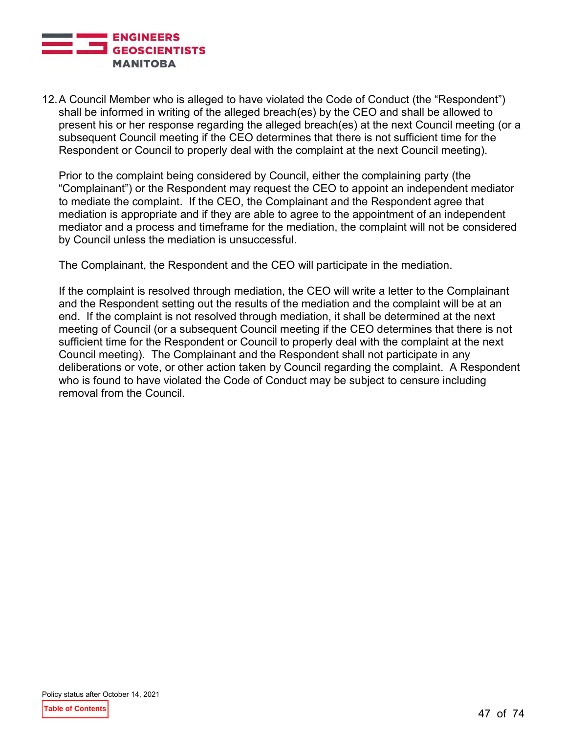

12.A Council Member who is alleged to have violated the Code of Conduct (the "Respondent") shall be informed in writing of the alleged breach(es) by the CEO and shall be allowed to present his or her response regarding the alleged breach(es) at the next Council meeting (or a subsequent Council meeting if the CEO determines that there is not sufficient time for the Respondent or Council to properly deal with the complaint at the next Council meeting).

Prior to the complaint being considered by Council, either the complaining party (the "Complainant") or the Respondent may request the CEO to appoint an independent mediator to mediate the complaint. If the CEO, the Complainant and the Respondent agree that mediation is appropriate and if they are able to agree to the appointment of an independent mediator and a process and timeframe for the mediation, the complaint will not be considered by Council unless the mediation is unsuccessful.

The Complainant, the Respondent and the CEO will participate in the mediation.

If the complaint is resolved through mediation, the CEO will write a letter to the Complainant and the Respondent setting out the results of the mediation and the complaint will be at an end. If the complaint is not resolved through mediation, it shall be determined at the next meeting of Council (or a subsequent Council meeting if the CEO determines that there is not sufficient time for the Respondent or Council to properly deal with the complaint at the next Council meeting). The Complainant and the Respondent shall not participate in any deliberations or vote, or other action taken by Council regarding the complaint. A Respondent who is found to have violated the Code of Conduct may be subject to censure including removal from the Council.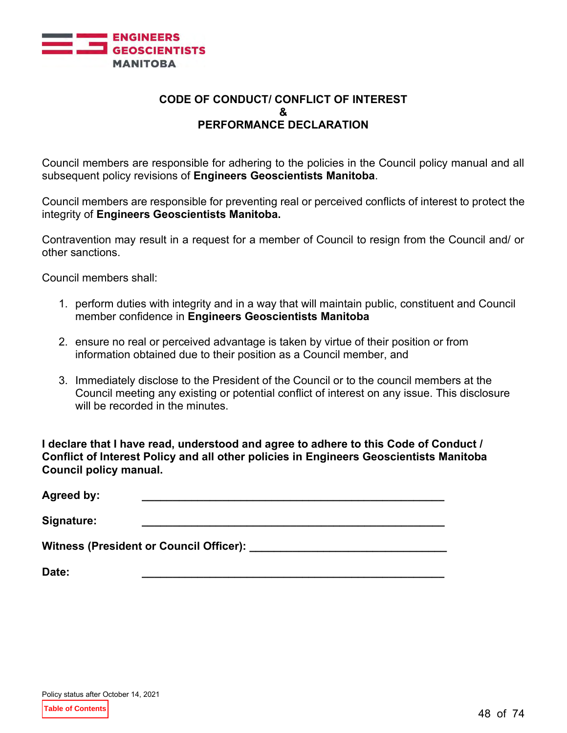

## **CODE OF CONDUCT/ CONFLICT OF INTEREST & PERFORMANCE DECLARATION**

Council members are responsible for adhering to the policies in the Council policy manual and all subsequent policy revisions of **Engineers Geoscientists Manitoba**.

Council members are responsible for preventing real or perceived conflicts of interest to protect the integrity of **Engineers Geoscientists Manitoba.**

Contravention may result in a request for a member of Council to resign from the Council and/ or other sanctions.

Council members shall:

- 1. perform duties with integrity and in a way that will maintain public, constituent and Council member confidence in **Engineers Geoscientists Manitoba**
- 2. ensure no real or perceived advantage is taken by virtue of their position or from information obtained due to their position as a Council member, and
- 3. Immediately disclose to the President of the Council or to the council members at the Council meeting any existing or potential conflict of interest on any issue. This disclosure will be recorded in the minutes.

**I declare that I have read, understood and agree to adhere to this Code of Conduct / Conflict of Interest Policy and all other policies in Engineers Geoscientists Manitoba Council policy manual.**

| <b>Agreed by:</b> |                                            |
|-------------------|--------------------------------------------|
| Signature:        |                                            |
|                   | Witness (President or Council Officer): __ |
| Date:             |                                            |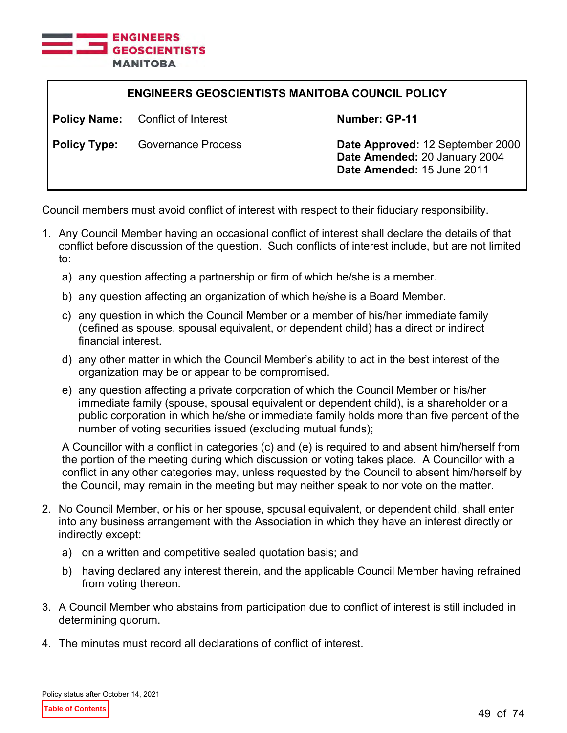

| <b>ENGINEERS GEOSCIENTISTS MANITOBA COUNCIL POLICY</b> |                                          |                                                                                                 |
|--------------------------------------------------------|------------------------------------------|-------------------------------------------------------------------------------------------------|
|                                                        | <b>Policy Name:</b> Conflict of Interest | Number: GP-11                                                                                   |
| <b>Policy Type:</b>                                    | <b>Governance Process</b>                | Date Approved: 12 September 2000<br>Date Amended: 20 January 2004<br>Date Amended: 15 June 2011 |

Council members must avoid conflict of interest with respect to their fiduciary responsibility.

- 1. Any Council Member having an occasional conflict of interest shall declare the details of that conflict before discussion of the question. Such conflicts of interest include, but are not limited to:
	- a) any question affecting a partnership or firm of which he/she is a member.
	- b) any question affecting an organization of which he/she is a Board Member.
	- c) any question in which the Council Member or a member of his/her immediate family (defined as spouse, spousal equivalent, or dependent child) has a direct or indirect financial interest.
	- d) any other matter in which the Council Member's ability to act in the best interest of the organization may be or appear to be compromised.
	- e) any question affecting a private corporation of which the Council Member or his/her immediate family (spouse, spousal equivalent or dependent child), is a shareholder or a public corporation in which he/she or immediate family holds more than five percent of the number of voting securities issued (excluding mutual funds);

A Councillor with a conflict in categories (c) and (e) is required to and absent him/herself from the portion of the meeting during which discussion or voting takes place. A Councillor with a conflict in any other categories may, unless requested by the Council to absent him/herself by the Council, may remain in the meeting but may neither speak to nor vote on the matter.

- 2. No Council Member, or his or her spouse, spousal equivalent, or dependent child, shall enter into any business arrangement with the Association in which they have an interest directly or indirectly except:
	- a) on a written and competitive sealed quotation basis; and
	- b) having declared any interest therein, and the applicable Council Member having refrained from voting thereon.
- 3. A Council Member who abstains from participation due to conflict of interest is still included in determining quorum.
- 4. The minutes must record all declarations of conflict of interest.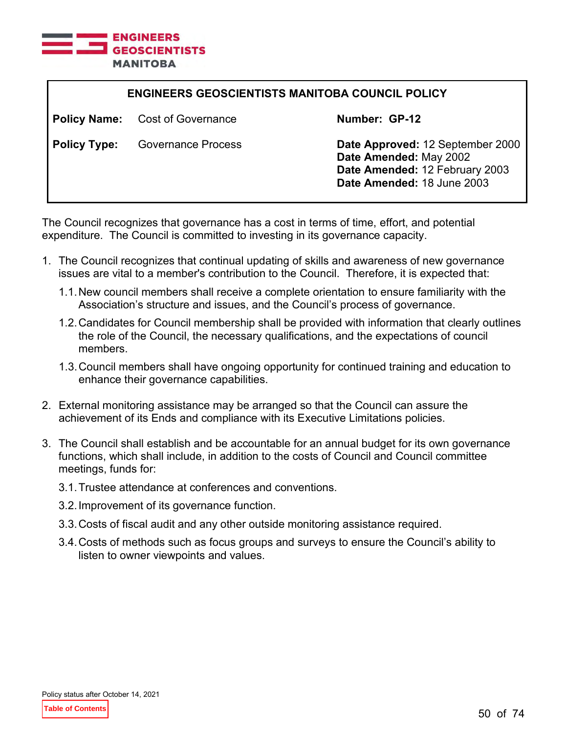

| <b>ENGINEERS GEOSCIENTISTS MANITOBA COUNCIL POLICY</b> |                                        |                                                                                                                            |
|--------------------------------------------------------|----------------------------------------|----------------------------------------------------------------------------------------------------------------------------|
|                                                        | <b>Policy Name:</b> Cost of Governance | Number: GP-12                                                                                                              |
| <b>Policy Type:</b>                                    | <b>Governance Process</b>              | Date Approved: 12 September 2000<br>Date Amended: May 2002<br>Date Amended: 12 February 2003<br>Date Amended: 18 June 2003 |

The Council recognizes that governance has a cost in terms of time, effort, and potential expenditure. The Council is committed to investing in its governance capacity.

- 1. The Council recognizes that continual updating of skills and awareness of new governance issues are vital to a member's contribution to the Council. Therefore, it is expected that:
	- 1.1.New council members shall receive a complete orientation to ensure familiarity with the Association's structure and issues, and the Council's process of governance.
	- 1.2.Candidates for Council membership shall be provided with information that clearly outlines the role of the Council, the necessary qualifications, and the expectations of council members.
	- 1.3.Council members shall have ongoing opportunity for continued training and education to enhance their governance capabilities.
- 2. External monitoring assistance may be arranged so that the Council can assure the achievement of its Ends and compliance with its Executive Limitations policies.
- 3. The Council shall establish and be accountable for an annual budget for its own governance functions, which shall include, in addition to the costs of Council and Council committee meetings, funds for:
	- 3.1.Trustee attendance at conferences and conventions.
	- 3.2.Improvement of its governance function.
	- 3.3.Costs of fiscal audit and any other outside monitoring assistance required.
	- 3.4.Costs of methods such as focus groups and surveys to ensure the Council's ability to listen to owner viewpoints and values.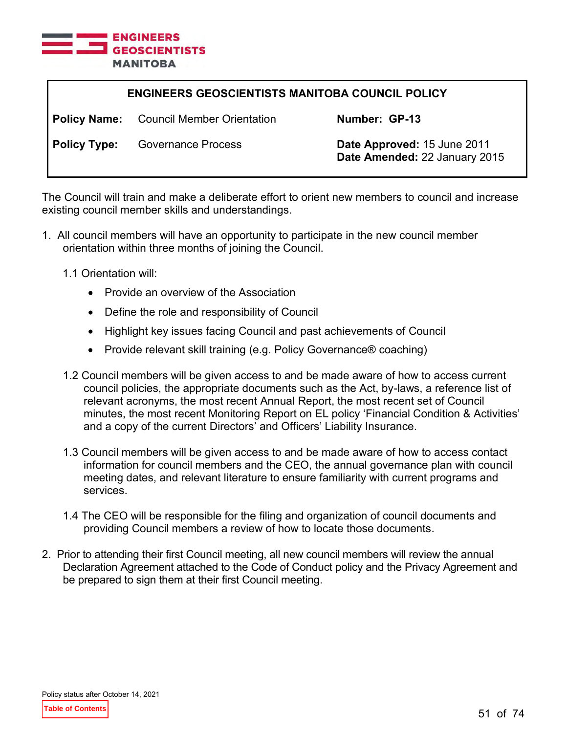

| <b>ENGINEERS GEOSCIENTISTS MANITOBA COUNCIL POLICY</b> |                                                |                                                              |
|--------------------------------------------------------|------------------------------------------------|--------------------------------------------------------------|
|                                                        | <b>Policy Name:</b> Council Member Orientation | Number: GP-13                                                |
| <b>Policy Type:</b>                                    | <b>Governance Process</b>                      | Date Approved: 15 June 2011<br>Date Amended: 22 January 2015 |

The Council will train and make a deliberate effort to orient new members to council and increase existing council member skills and understandings.

- 1. All council members will have an opportunity to participate in the new council member orientation within three months of joining the Council.
	- 1.1 Orientation will:
		- Provide an overview of the Association
		- Define the role and responsibility of Council
		- Highlight key issues facing Council and past achievements of Council
		- Provide relevant skill training (e.g. Policy Governance® coaching)
	- 1.2 Council members will be given access to and be made aware of how to access current council policies, the appropriate documents such as the Act, by-laws, a reference list of relevant acronyms, the most recent Annual Report, the most recent set of Council minutes, the most recent Monitoring Report on EL policy 'Financial Condition & Activities' and a copy of the current Directors' and Officers' Liability Insurance.
	- 1.3 Council members will be given access to and be made aware of how to access contact information for council members and the CEO, the annual governance plan with council meeting dates, and relevant literature to ensure familiarity with current programs and services.
	- 1.4 The CEO will be responsible for the filing and organization of council documents and providing Council members a review of how to locate those documents.
- 2. Prior to attending their first Council meeting, all new council members will review the annual Declaration Agreement attached to the Code of Conduct policy and the Privacy Agreement and be prepared to sign them at their first Council meeting.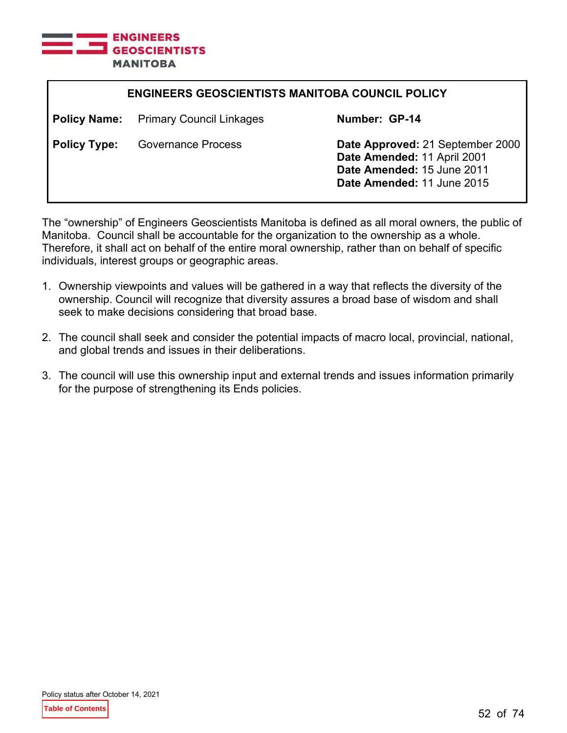

| <b>ENGINEERS GEOSCIENTISTS MANITOBA COUNCIL POLICY</b> |                                 |                                                                                                                             |
|--------------------------------------------------------|---------------------------------|-----------------------------------------------------------------------------------------------------------------------------|
| <b>Policy Name:</b>                                    | <b>Primary Council Linkages</b> | Number: GP-14                                                                                                               |
| <b>Policy Type:</b>                                    | Governance Process              | Date Approved: 21 September 2000<br>Date Amended: 11 April 2001<br>Date Amended: 15 June 2011<br>Date Amended: 11 June 2015 |

The "ownership" of Engineers Geoscientists Manitoba is defined as all moral owners, the public of Manitoba. Council shall be accountable for the organization to the ownership as a whole. Therefore, it shall act on behalf of the entire moral ownership, rather than on behalf of specific individuals, interest groups or geographic areas.

- 1. Ownership viewpoints and values will be gathered in a way that reflects the diversity of the ownership. Council will recognize that diversity assures a broad base of wisdom and shall seek to make decisions considering that broad base.
- 2. The council shall seek and consider the potential impacts of macro local, provincial, national, and global trends and issues in their deliberations.
- 3. The council will use this ownership input and external trends and issues information primarily for the purpose of strengthening its Ends policies.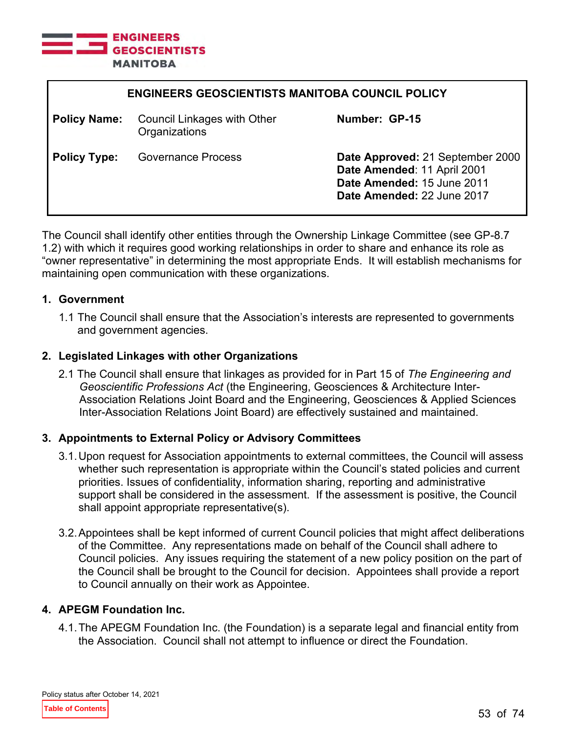

| <b>ENGINEERS GEOSCIENTISTS MANITOBA COUNCIL POLICY</b> |                                                     |                                                                                                                             |
|--------------------------------------------------------|-----------------------------------------------------|-----------------------------------------------------------------------------------------------------------------------------|
| <b>Policy Name:</b>                                    | <b>Council Linkages with Other</b><br>Organizations | Number: GP-15                                                                                                               |
| <b>Policy Type:</b>                                    | <b>Governance Process</b>                           | Date Approved: 21 September 2000<br>Date Amended: 11 April 2001<br>Date Amended: 15 June 2011<br>Date Amended: 22 June 2017 |

The Council shall identify other entities through the Ownership Linkage Committee (see GP-8.7 1.2) with which it requires good working relationships in order to share and enhance its role as "owner representative" in determining the most appropriate Ends. It will establish mechanisms for maintaining open communication with these organizations.

#### **1. Government**

1.1 The Council shall ensure that the Association's interests are represented to governments and government agencies.

#### **2. Legislated Linkages with other Organizations**

2.1 The Council shall ensure that linkages as provided for in Part 15 of *The Engineering and Geoscientific Professions Act* (the Engineering, Geosciences & Architecture Inter-Association Relations Joint Board and the Engineering, Geosciences & Applied Sciences Inter-Association Relations Joint Board) are effectively sustained and maintained.

## **3. Appointments to External Policy or Advisory Committees**

- 3.1.Upon request for Association appointments to external committees, the Council will assess whether such representation is appropriate within the Council's stated policies and current priorities. Issues of confidentiality, information sharing, reporting and administrative support shall be considered in the assessment. If the assessment is positive, the Council shall appoint appropriate representative(s).
- 3.2.Appointees shall be kept informed of current Council policies that might affect deliberations of the Committee. Any representations made on behalf of the Council shall adhere to Council policies. Any issues requiring the statement of a new policy position on the part of the Council shall be brought to the Council for decision. Appointees shall provide a report to Council annually on their work as Appointee.

## **4. APEGM Foundation Inc.**

4.1.The APEGM Foundation Inc. (the Foundation) is a separate legal and financial entity from the Association. Council shall not attempt to influence or direct the Foundation.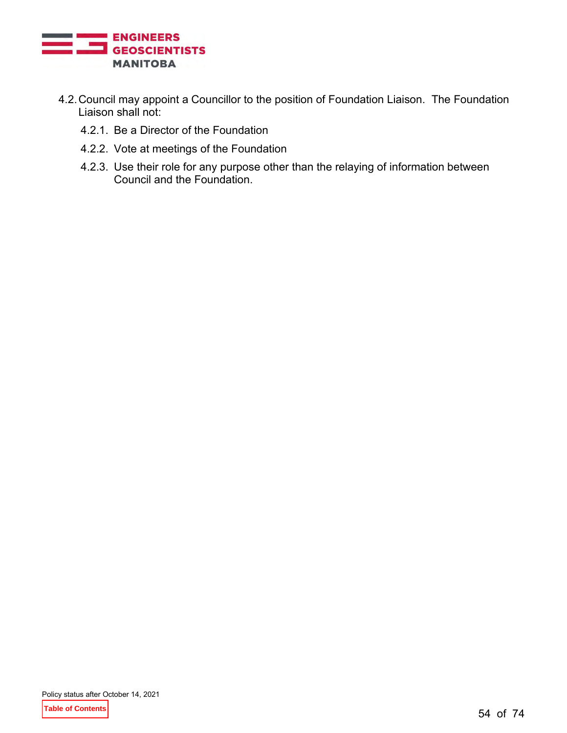

- 4.2.Council may appoint a Councillor to the position of Foundation Liaison. The Foundation Liaison shall not:
	- 4.2.1. Be a Director of the Foundation
	- 4.2.2. Vote at meetings of the Foundation
	- 4.2.3. Use their role for any purpose other than the relaying of information between Council and the Foundation.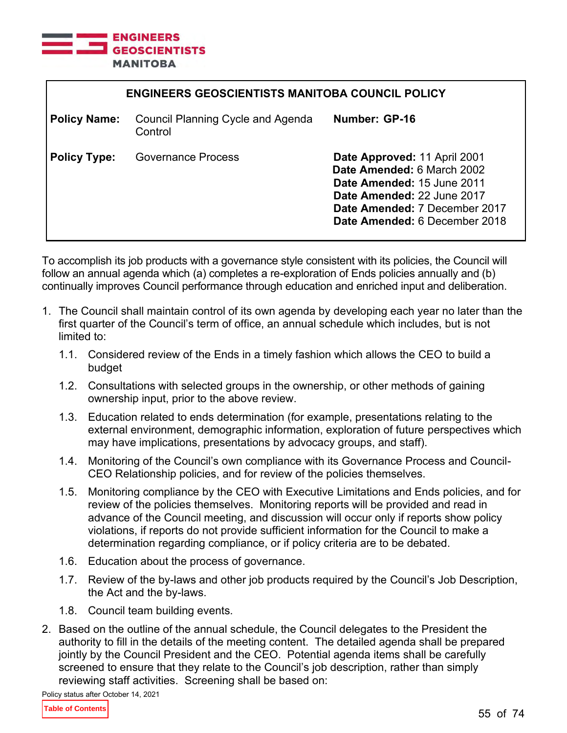

| <b>ENGINEERS GEOSCIENTISTS MANITOBA COUNCIL POLICY</b> |                                                     |                                                                                                                                                                                          |
|--------------------------------------------------------|-----------------------------------------------------|------------------------------------------------------------------------------------------------------------------------------------------------------------------------------------------|
| <b>Policy Name:</b>                                    | <b>Council Planning Cycle and Agenda</b><br>Control | Number: GP-16                                                                                                                                                                            |
| <b>Policy Type:</b>                                    | Governance Process                                  | Date Approved: 11 April 2001<br>Date Amended: 6 March 2002<br>Date Amended: 15 June 2011<br>Date Amended: 22 June 2017<br>Date Amended: 7 December 2017<br>Date Amended: 6 December 2018 |

To accomplish its job products with a governance style consistent with its policies, the Council will follow an annual agenda which (a) completes a re-exploration of Ends policies annually and (b) continually improves Council performance through education and enriched input and deliberation.

- 1. The Council shall maintain control of its own agenda by developing each year no later than the first quarter of the Council's term of office, an annual schedule which includes, but is not limited to:
	- 1.1. Considered review of the Ends in a timely fashion which allows the CEO to build a budget
	- 1.2. Consultations with selected groups in the ownership, or other methods of gaining ownership input, prior to the above review.
	- 1.3. Education related to ends determination (for example, presentations relating to the external environment, demographic information, exploration of future perspectives which may have implications, presentations by advocacy groups, and staff).
	- 1.4. Monitoring of the Council's own compliance with its Governance Process and Council-CEO Relationship policies, and for review of the policies themselves.
	- 1.5. Monitoring compliance by the CEO with Executive Limitations and Ends policies, and for review of the policies themselves. Monitoring reports will be provided and read in advance of the Council meeting, and discussion will occur only if reports show policy violations, if reports do not provide sufficient information for the Council to make a determination regarding compliance, or if policy criteria are to be debated.
	- 1.6. Education about the process of governance.
	- 1.7. Review of the by-laws and other job products required by the Council's Job Description, the Act and the by-laws.
	- 1.8. Council team building events.
- 2. Based on the outline of the annual schedule, the Council delegates to the President the authority to fill in the details of the meeting content. The detailed agenda shall be prepared jointly by the Council President and the CEO. Potential agenda items shall be carefully screened to ensure that they relate to the Council's job description, rather than simply reviewing staff activities. Screening shall be based on:

Policy status after October 14, 2021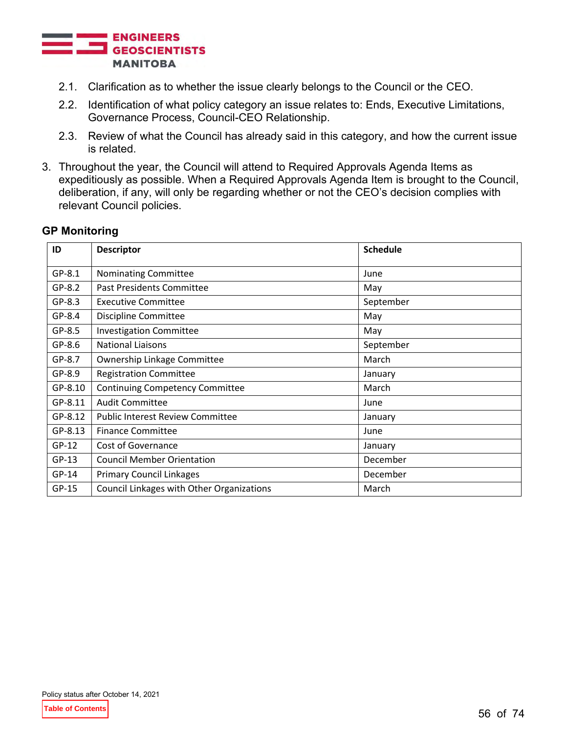

- 2.1. Clarification as to whether the issue clearly belongs to the Council or the CEO.
- 2.2. Identification of what policy category an issue relates to: Ends, Executive Limitations, Governance Process, Council-CEO Relationship.
- 2.3. Review of what the Council has already said in this category, and how the current issue is related.
- 3. Throughout the year, the Council will attend to Required Approvals Agenda Items as expeditiously as possible. When a Required Approvals Agenda Item is brought to the Council, deliberation, if any, will only be regarding whether or not the CEO's decision complies with relevant Council policies.

## **GP Monitoring**

| ID       | <b>Descriptor</b>                         | <b>Schedule</b> |
|----------|-------------------------------------------|-----------------|
| $GP-8.1$ | Nominating Committee                      | June            |
| $GP-8.2$ | Past Presidents Committee                 | May             |
| $GP-8.3$ | <b>Executive Committee</b>                | September       |
| GP-8.4   | Discipline Committee                      | May             |
| GP-8.5   | <b>Investigation Committee</b>            | May             |
| GP-8.6   | <b>National Liaisons</b>                  | September       |
| GP-8.7   | Ownership Linkage Committee               | March           |
| GP-8.9   | <b>Registration Committee</b>             | January         |
| GP-8.10  | <b>Continuing Competency Committee</b>    | March           |
| GP-8.11  | <b>Audit Committee</b>                    | June            |
| GP-8.12  | <b>Public Interest Review Committee</b>   | January         |
| GP-8.13  | <b>Finance Committee</b>                  | June            |
| $GP-12$  | <b>Cost of Governance</b>                 | January         |
| $GP-13$  | <b>Council Member Orientation</b>         | December        |
| $GP-14$  | <b>Primary Council Linkages</b>           | December        |
| $GP-15$  | Council Linkages with Other Organizations | March           |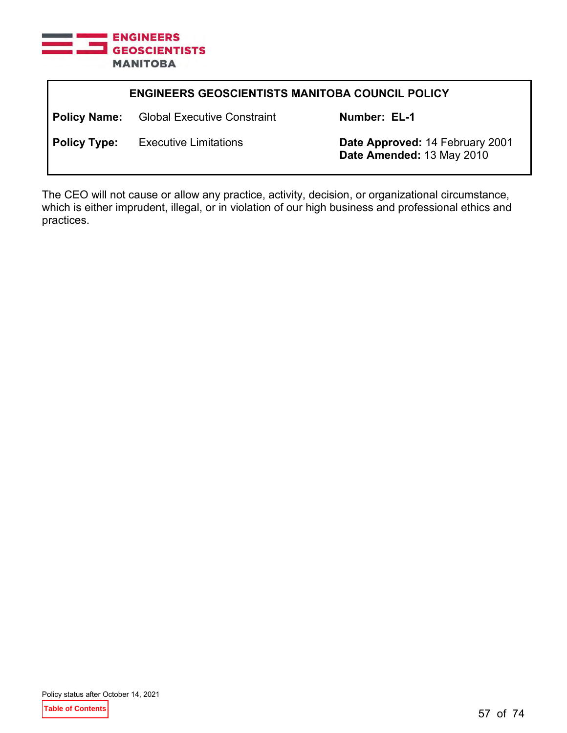

| <b>ENGINEERS GEOSCIENTISTS MANITOBA COUNCIL POLICY</b> |                                    |                                                              |
|--------------------------------------------------------|------------------------------------|--------------------------------------------------------------|
| <b>Policy Name:</b>                                    | <b>Global Executive Constraint</b> | Number: EL-1                                                 |
| <b>Policy Type:</b>                                    | <b>Executive Limitations</b>       | Date Approved: 14 February 2001<br>Date Amended: 13 May 2010 |

The CEO will not cause or allow any practice, activity, decision, or organizational circumstance, which is either imprudent, illegal, or in violation of our high business and professional ethics and practices.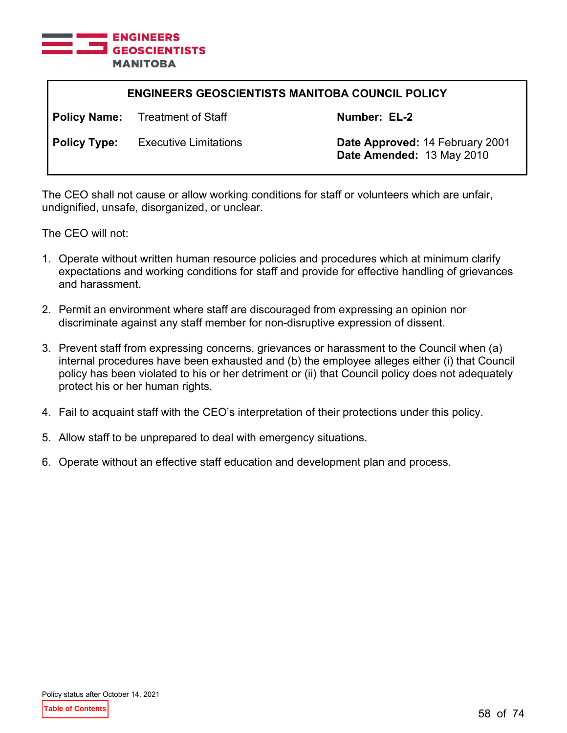

| <b>ENGINEERS GEOSCIENTISTS MANITOBA COUNCIL POLICY</b> |                                        |                                                              |
|--------------------------------------------------------|----------------------------------------|--------------------------------------------------------------|
|                                                        | <b>Policy Name:</b> Treatment of Staff | Number: EL-2                                                 |
| <b>Policy Type:</b>                                    | <b>Executive Limitations</b>           | Date Approved: 14 February 2001<br>Date Amended: 13 May 2010 |

The CEO shall not cause or allow working conditions for staff or volunteers which are unfair, undignified, unsafe, disorganized, or unclear.

- 1. Operate without written human resource policies and procedures which at minimum clarify expectations and working conditions for staff and provide for effective handling of grievances and harassment.
- 2. Permit an environment where staff are discouraged from expressing an opinion nor discriminate against any staff member for non-disruptive expression of dissent.
- 3. Prevent staff from expressing concerns, grievances or harassment to the Council when (a) internal procedures have been exhausted and (b) the employee alleges either (i) that Council policy has been violated to his or her detriment or (ii) that Council policy does not adequately protect his or her human rights.
- 4. Fail to acquaint staff with the CEO's interpretation of their protections under this policy.
- 5. Allow staff to be unprepared to deal with emergency situations.
- 6. Operate without an effective staff education and development plan and process.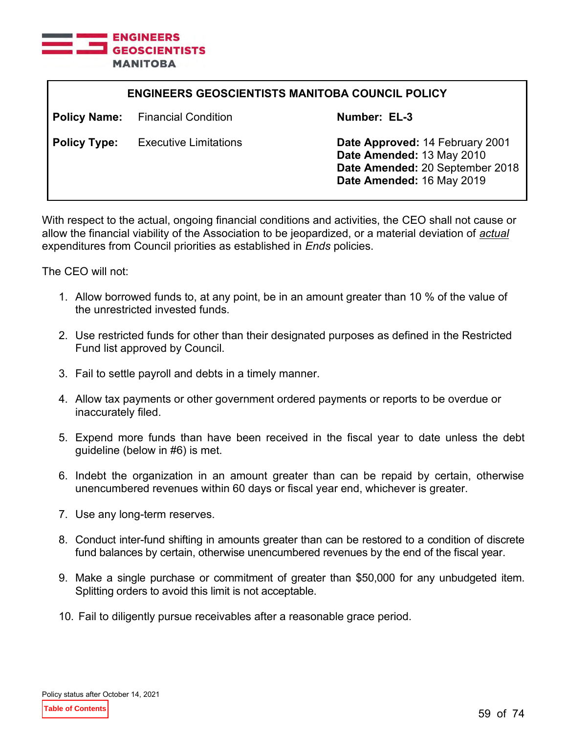

| <b>ENGINEERS GEOSCIENTISTS MANITOBA COUNCIL POLICY</b> |                              |                                                                                                                              |
|--------------------------------------------------------|------------------------------|------------------------------------------------------------------------------------------------------------------------------|
| <b>Policy Name:</b>                                    | <b>Financial Condition</b>   | Number: EL-3                                                                                                                 |
| <b>Policy Type:</b>                                    | <b>Executive Limitations</b> | Date Approved: 14 February 2001<br>Date Amended: 13 May 2010<br>Date Amended: 20 September 2018<br>Date Amended: 16 May 2019 |

With respect to the actual, ongoing financial conditions and activities, the CEO shall not cause or allow the financial viability of the Association to be jeopardized, or a material deviation of *actual* expenditures from Council priorities as established in *Ends* policies.

- 1. Allow borrowed funds to, at any point, be in an amount greater than 10 % of the value of the unrestricted invested funds.
- 2. Use restricted funds for other than their designated purposes as defined in the Restricted Fund list approved by Council.
- 3. Fail to settle payroll and debts in a timely manner.
- 4. Allow tax payments or other government ordered payments or reports to be overdue or inaccurately filed.
- 5. Expend more funds than have been received in the fiscal year to date unless the debt guideline (below in #6) is met.
- 6. Indebt the organization in an amount greater than can be repaid by certain, otherwise unencumbered revenues within 60 days or fiscal year end, whichever is greater.
- 7. Use any long-term reserves.
- 8. Conduct inter-fund shifting in amounts greater than can be restored to a condition of discrete fund balances by certain, otherwise unencumbered revenues by the end of the fiscal year.
- 9. Make a single purchase or commitment of greater than \$50,000 for any unbudgeted item. Splitting orders to avoid this limit is not acceptable.
- 10. Fail to diligently pursue receivables after a reasonable grace period.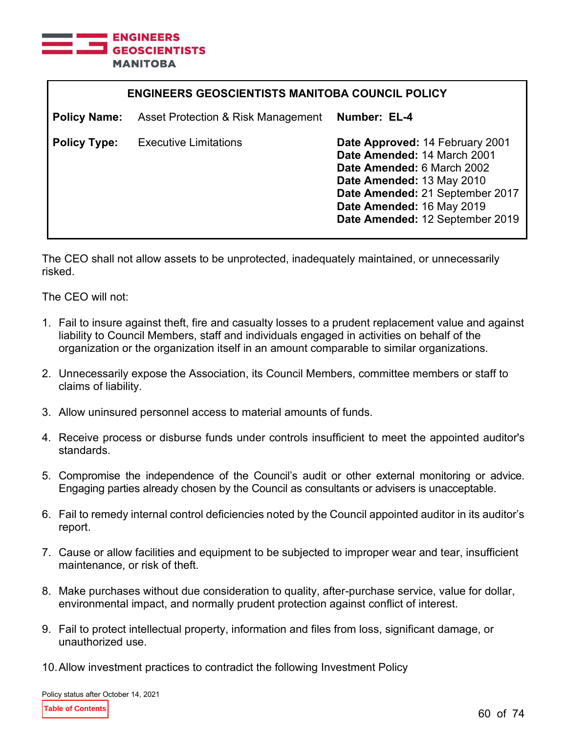

| <b>ENGINEERS GEOSCIENTISTS MANITOBA COUNCIL POLICY</b> |                                    |                                                                                                                                                                                                                              |
|--------------------------------------------------------|------------------------------------|------------------------------------------------------------------------------------------------------------------------------------------------------------------------------------------------------------------------------|
| <b>Policy Name:</b>                                    | Asset Protection & Risk Management | Number: EL-4                                                                                                                                                                                                                 |
| <b>Policy Type:</b>                                    | <b>Executive Limitations</b>       | Date Approved: 14 February 2001<br>Date Amended: 14 March 2001<br>Date Amended: 6 March 2002<br>Date Amended: 13 May 2010<br>Date Amended: 21 September 2017<br>Date Amended: 16 May 2019<br>Date Amended: 12 September 2019 |

The CEO shall not allow assets to be unprotected, inadequately maintained, or unnecessarily risked.

The CEO will not:

- 1. Fail to insure against theft, fire and casualty losses to a prudent replacement value and against liability to Council Members, staff and individuals engaged in activities on behalf of the organization or the organization itself in an amount comparable to similar organizations.
- 2. Unnecessarily expose the Association, its Council Members, committee members or staff to claims of liability.
- 3. Allow uninsured personnel access to material amounts of funds.
- 4. Receive process or disburse funds under controls insufficient to meet the appointed auditor's standards.
- 5. Compromise the independence of the Council's audit or other external monitoring or advice. Engaging parties already chosen by the Council as consultants or advisers is unacceptable.
- 6. Fail to remedy internal control deficiencies noted by the Council appointed auditor in its auditor's report.
- 7. Cause or allow facilities and equipment to be subjected to improper wear and tear, insufficient maintenance, or risk of theft.
- 8. Make purchases without due consideration to quality, after-purchase service, value for dollar, environmental impact, and normally prudent protection against conflict of interest.
- 9. Fail to protect intellectual property, information and files from loss, significant damage, or unauthorized use.
- 10.Allow investment practices to contradict the following Investment Policy

Policy status after October 14, 2021

**Table of Contents**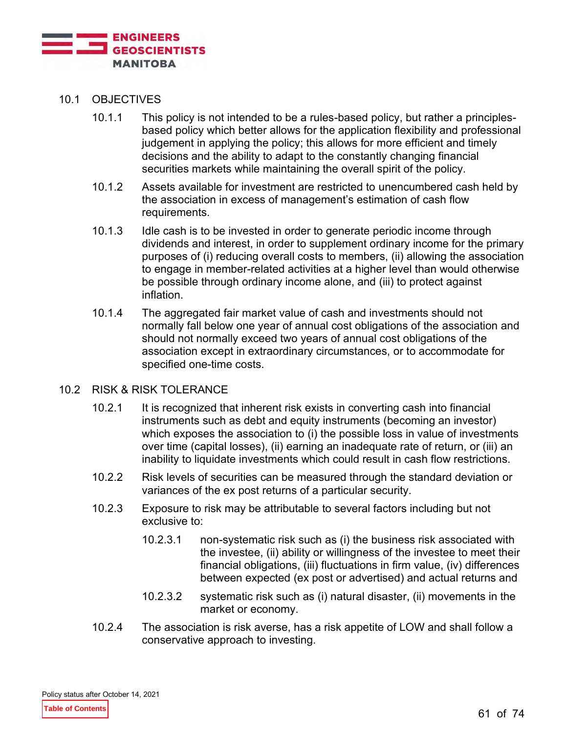

- 10.1 OBJECTIVES
	- 10.1.1 This policy is not intended to be a rules-based policy, but rather a principlesbased policy which better allows for the application flexibility and professional judgement in applying the policy; this allows for more efficient and timely decisions and the ability to adapt to the constantly changing financial securities markets while maintaining the overall spirit of the policy.
	- 10.1.2 Assets available for investment are restricted to unencumbered cash held by the association in excess of management's estimation of cash flow requirements.
	- 10.1.3 Idle cash is to be invested in order to generate periodic income through dividends and interest, in order to supplement ordinary income for the primary purposes of (i) reducing overall costs to members, (ii) allowing the association to engage in member-related activities at a higher level than would otherwise be possible through ordinary income alone, and (iii) to protect against inflation.
	- 10.1.4 The aggregated fair market value of cash and investments should not normally fall below one year of annual cost obligations of the association and should not normally exceed two years of annual cost obligations of the association except in extraordinary circumstances, or to accommodate for specified one-time costs.
- 10.2 RISK & RISK TOLERANCE
	- 10.2.1 It is recognized that inherent risk exists in converting cash into financial instruments such as debt and equity instruments (becoming an investor) which exposes the association to (i) the possible loss in value of investments over time (capital losses), (ii) earning an inadequate rate of return, or (iii) an inability to liquidate investments which could result in cash flow restrictions.
	- 10.2.2 Risk levels of securities can be measured through the standard deviation or variances of the ex post returns of a particular security.
	- 10.2.3 Exposure to risk may be attributable to several factors including but not exclusive to:
		- 10.2.3.1 non-systematic risk such as (i) the business risk associated with the investee, (ii) ability or willingness of the investee to meet their financial obligations, (iii) fluctuations in firm value, (iv) differences between expected (ex post or advertised) and actual returns and
		- 10.2.3.2 systematic risk such as (i) natural disaster, (ii) movements in the market or economy.
	- 10.2.4 The association is risk averse, has a risk appetite of LOW and shall follow a conservative approach to investing.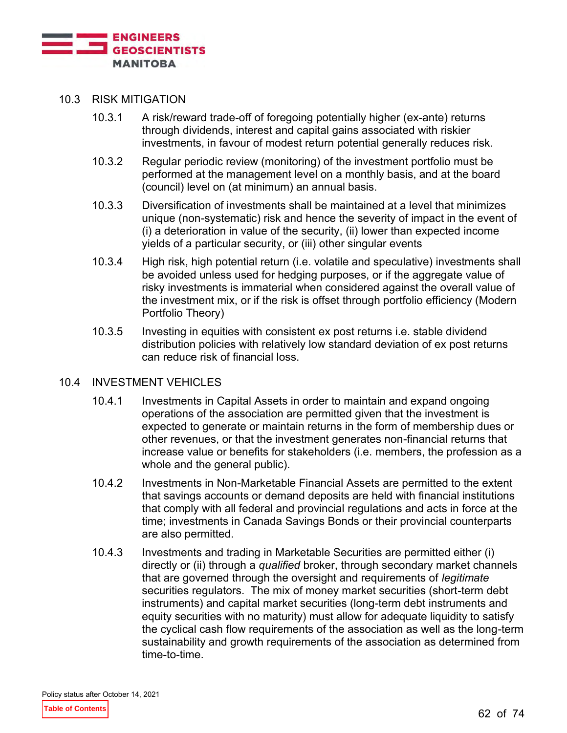

#### 10.3 RISK MITIGATION

- 10.3.1 A risk/reward trade-off of foregoing potentially higher (ex-ante) returns through dividends, interest and capital gains associated with riskier investments, in favour of modest return potential generally reduces risk.
- 10.3.2 Regular periodic review (monitoring) of the investment portfolio must be performed at the management level on a monthly basis, and at the board (council) level on (at minimum) an annual basis.
- 10.3.3 Diversification of investments shall be maintained at a level that minimizes unique (non-systematic) risk and hence the severity of impact in the event of (i) a deterioration in value of the security, (ii) lower than expected income yields of a particular security, or (iii) other singular events
- 10.3.4 High risk, high potential return (i.e. volatile and speculative) investments shall be avoided unless used for hedging purposes, or if the aggregate value of risky investments is immaterial when considered against the overall value of the investment mix, or if the risk is offset through portfolio efficiency (Modern Portfolio Theory)
- 10.3.5 Investing in equities with consistent ex post returns i.e. stable dividend distribution policies with relatively low standard deviation of ex post returns can reduce risk of financial loss.

#### 10.4 INVESTMENT VEHICLES

- 10.4.1 Investments in Capital Assets in order to maintain and expand ongoing operations of the association are permitted given that the investment is expected to generate or maintain returns in the form of membership dues or other revenues, or that the investment generates non-financial returns that increase value or benefits for stakeholders (i.e. members, the profession as a whole and the general public).
- 10.4.2 Investments in Non-Marketable Financial Assets are permitted to the extent that savings accounts or demand deposits are held with financial institutions that comply with all federal and provincial regulations and acts in force at the time; investments in Canada Savings Bonds or their provincial counterparts are also permitted.
- 10.4.3 Investments and trading in Marketable Securities are permitted either (i) directly or (ii) through a *qualified* broker, through secondary market channels that are governed through the oversight and requirements of *legitimate* securities regulators. The mix of money market securities (short-term debt instruments) and capital market securities (long-term debt instruments and equity securities with no maturity) must allow for adequate liquidity to satisfy the cyclical cash flow requirements of the association as well as the long-term sustainability and growth requirements of the association as determined from time-to-time.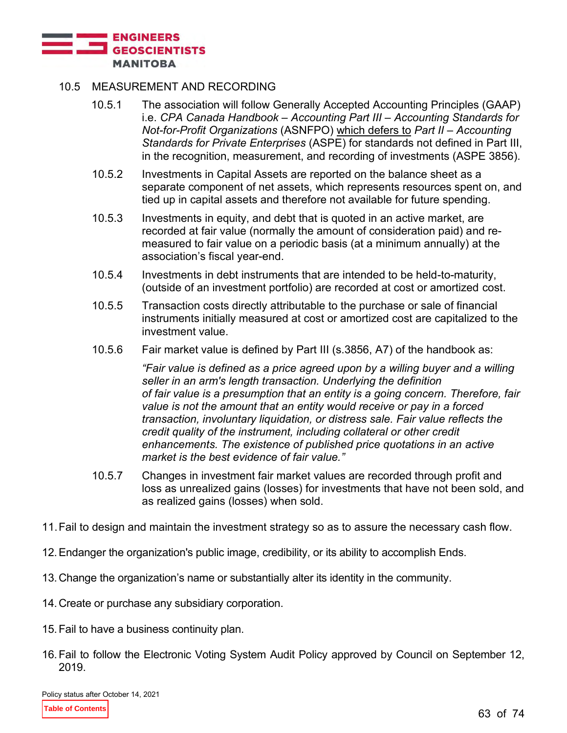

## 10.5 MEASUREMENT AND RECORDING

- 10.5.1 The association will follow Generally Accepted Accounting Principles (GAAP) i.e. *CPA Canada Handbook – Accounting Part III – Accounting Standards for Not-for-Profit Organizations* (ASNFPO) which defers to *Part II – Accounting Standards for Private Enterprises* (ASPE) for standards not defined in Part III, in the recognition, measurement, and recording of investments (ASPE 3856).
- 10.5.2 Investments in Capital Assets are reported on the balance sheet as a separate component of net assets, which represents resources spent on, and tied up in capital assets and therefore not available for future spending.
- 10.5.3 Investments in equity, and debt that is quoted in an active market, are recorded at fair value (normally the amount of consideration paid) and remeasured to fair value on a periodic basis (at a minimum annually) at the association's fiscal year-end.
- 10.5.4 Investments in debt instruments that are intended to be held-to-maturity, (outside of an investment portfolio) are recorded at cost or amortized cost.
- 10.5.5 Transaction costs directly attributable to the purchase or sale of financial instruments initially measured at cost or amortized cost are capitalized to the investment value.
- 10.5.6 Fair market value is defined by Part III (s.3856, A7) of the handbook as:

*"Fair value is defined as a price agreed upon by a willing buyer and a willing seller in an arm's length transaction. Underlying the definition of fair value is a presumption that an entity is a going concern. Therefore, fair value is not the amount that an entity would receive or pay in a forced transaction, involuntary liquidation, or distress sale. Fair value reflects the credit quality of the instrument, including collateral or other credit enhancements. The existence of published price quotations in an active market is the best evidence of fair value."*

- 10.5.7 Changes in investment fair market values are recorded through profit and loss as unrealized gains (losses) for investments that have not been sold, and as realized gains (losses) when sold.
- 11.Fail to design and maintain the investment strategy so as to assure the necessary cash flow.
- 12.Endanger the organization's public image, credibility, or its ability to accomplish Ends.
- 13.Change the organization's name or substantially alter its identity in the community.
- 14.Create or purchase any subsidiary corporation.
- 15.Fail to have a business continuity plan.
- 16.Fail to follow the Electronic Voting System Audit Policy approved by Council on September 12, 2019.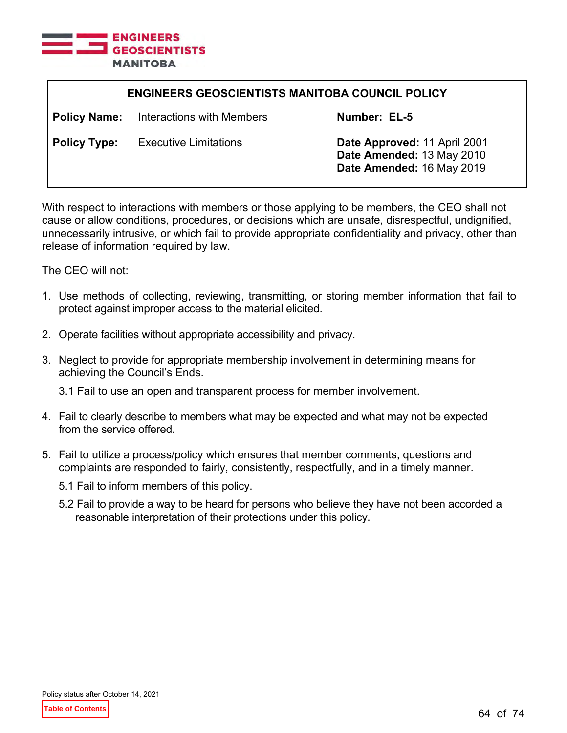

| <b>ENGINEERS GEOSCIENTISTS MANITOBA COUNCIL POLICY</b> |                              |                                                                                        |
|--------------------------------------------------------|------------------------------|----------------------------------------------------------------------------------------|
| <b>Policy Name:</b>                                    | Interactions with Members    | Number: EL-5                                                                           |
| <b>Policy Type:</b>                                    | <b>Executive Limitations</b> | Date Approved: 11 April 2001<br>Date Amended: 13 May 2010<br>Date Amended: 16 May 2019 |

With respect to interactions with members or those applying to be members, the CEO shall not cause or allow conditions, procedures, or decisions which are unsafe, disrespectful, undignified, unnecessarily intrusive, or which fail to provide appropriate confidentiality and privacy, other than release of information required by law.

The CEO will not:

- 1. Use methods of collecting, reviewing, transmitting, or storing member information that fail to protect against improper access to the material elicited.
- 2. Operate facilities without appropriate accessibility and privacy.
- 3. Neglect to provide for appropriate membership involvement in determining means for achieving the Council's Ends.

3.1 Fail to use an open and transparent process for member involvement.

- 4. Fail to clearly describe to members what may be expected and what may not be expected from the service offered.
- 5. Fail to utilize a process/policy which ensures that member comments, questions and complaints are responded to fairly, consistently, respectfully, and in a timely manner.
	- 5.1 Fail to inform members of this policy.
	- 5.2 Fail to provide a way to be heard for persons who believe they have not been accorded a reasonable interpretation of their protections under this policy.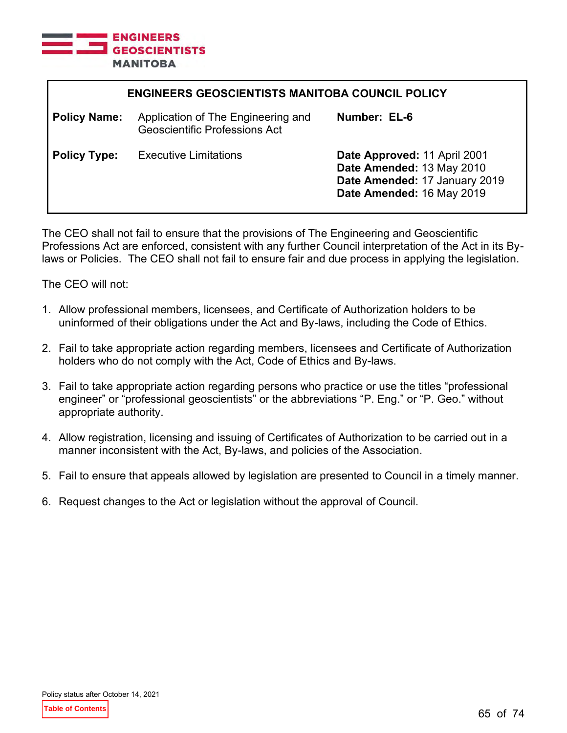

| <b>ENGINEERS GEOSCIENTISTS MANITOBA COUNCIL POLICY</b> |                                                                            |                                                                                                                         |
|--------------------------------------------------------|----------------------------------------------------------------------------|-------------------------------------------------------------------------------------------------------------------------|
| <b>Policy Name:</b>                                    | Application of The Engineering and<br><b>Geoscientific Professions Act</b> | Number: EL-6                                                                                                            |
| <b>Policy Type:</b>                                    | <b>Executive Limitations</b>                                               | Date Approved: 11 April 2001<br>Date Amended: 13 May 2010<br>Date Amended: 17 January 2019<br>Date Amended: 16 May 2019 |

The CEO shall not fail to ensure that the provisions of The Engineering and Geoscientific Professions Act are enforced, consistent with any further Council interpretation of the Act in its Bylaws or Policies. The CEO shall not fail to ensure fair and due process in applying the legislation.

- 1. Allow professional members, licensees, and Certificate of Authorization holders to be uninformed of their obligations under the Act and By-laws, including the Code of Ethics.
- 2. Fail to take appropriate action regarding members, licensees and Certificate of Authorization holders who do not comply with the Act, Code of Ethics and By-laws.
- 3. Fail to take appropriate action regarding persons who practice or use the titles "professional engineer" or "professional geoscientists" or the abbreviations "P. Eng." or "P. Geo." without appropriate authority.
- 4. Allow registration, licensing and issuing of Certificates of Authorization to be carried out in a manner inconsistent with the Act, By-laws, and policies of the Association.
- 5. Fail to ensure that appeals allowed by legislation are presented to Council in a timely manner.
- 6. Request changes to the Act or legislation without the approval of Council.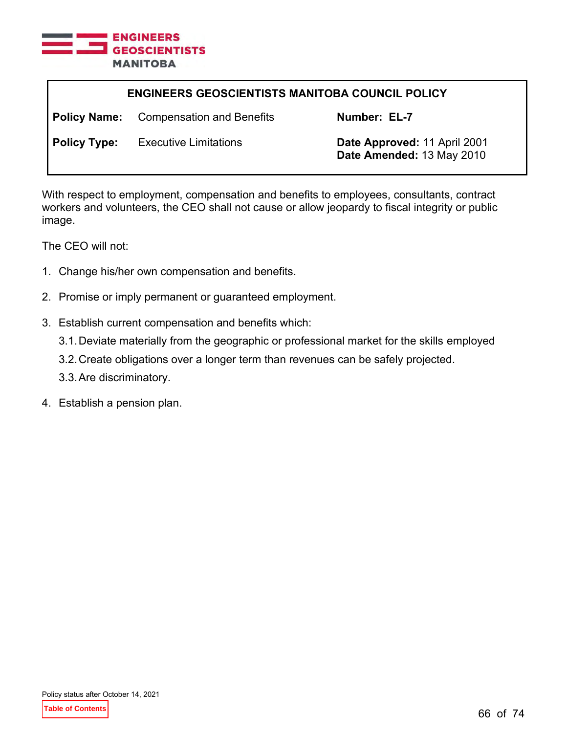

| <b>ENGINEERS GEOSCIENTISTS MANITOBA COUNCIL POLICY</b> |                                               |                                                           |
|--------------------------------------------------------|-----------------------------------------------|-----------------------------------------------------------|
|                                                        | <b>Policy Name:</b> Compensation and Benefits | Number: EL-7                                              |
| <b>Policy Type:</b>                                    | <b>Executive Limitations</b>                  | Date Approved: 11 April 2001<br>Date Amended: 13 May 2010 |

With respect to employment, compensation and benefits to employees, consultants, contract workers and volunteers, the CEO shall not cause or allow jeopardy to fiscal integrity or public image.

- 1. Change his/her own compensation and benefits.
- 2. Promise or imply permanent or guaranteed employment.
- 3. Establish current compensation and benefits which:
	- 3.1.Deviate materially from the geographic or professional market for the skills employed
	- 3.2.Create obligations over a longer term than revenues can be safely projected.
	- 3.3.Are discriminatory.
- 4. Establish a pension plan.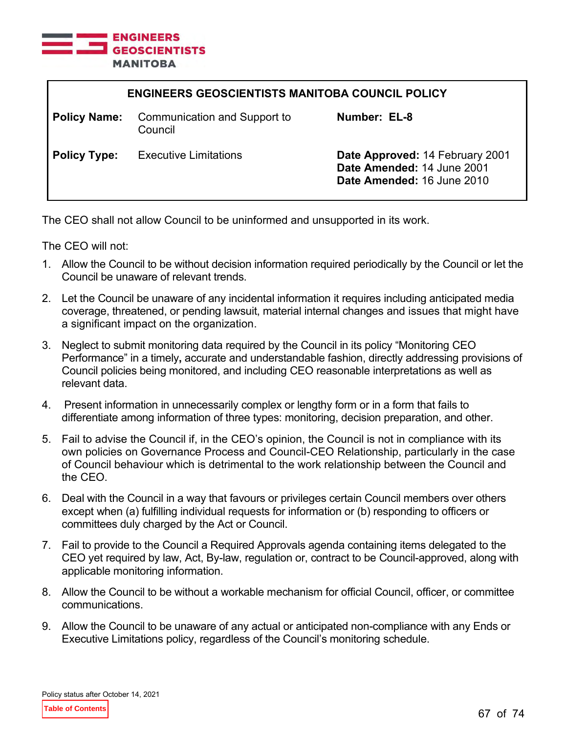

| <b>ENGINEERS GEOSCIENTISTS MANITOBA COUNCIL POLICY</b> |                                         |                                                                                             |
|--------------------------------------------------------|-----------------------------------------|---------------------------------------------------------------------------------------------|
| <b>Policy Name:</b>                                    | Communication and Support to<br>Council | Number: EL-8                                                                                |
| <b>Policy Type:</b>                                    | <b>Executive Limitations</b>            | Date Approved: 14 February 2001<br>Date Amended: 14 June 2001<br>Date Amended: 16 June 2010 |

The CEO shall not allow Council to be uninformed and unsupported in its work.

- 1. Allow the Council to be without decision information required periodically by the Council or let the Council be unaware of relevant trends.
- 2. Let the Council be unaware of any incidental information it requires including anticipated media coverage, threatened, or pending lawsuit, material internal changes and issues that might have a significant impact on the organization.
- 3. Neglect to submit monitoring data required by the Council in its policy "Monitoring CEO Performance" in a timely**,** accurate and understandable fashion, directly addressing provisions of Council policies being monitored, and including CEO reasonable interpretations as well as relevant data.
- 4. Present information in unnecessarily complex or lengthy form or in a form that fails to differentiate among information of three types: monitoring, decision preparation, and other.
- 5. Fail to advise the Council if, in the CEO's opinion, the Council is not in compliance with its own policies on Governance Process and Council-CEO Relationship, particularly in the case of Council behaviour which is detrimental to the work relationship between the Council and the CEO.
- 6. Deal with the Council in a way that favours or privileges certain Council members over others except when (a) fulfilling individual requests for information or (b) responding to officers or committees duly charged by the Act or Council.
- 7. Fail to provide to the Council a Required Approvals agenda containing items delegated to the CEO yet required by law, Act, By-law, regulation or, contract to be Council-approved, along with applicable monitoring information.
- 8. Allow the Council to be without a workable mechanism for official Council, officer, or committee communications.
- 9. Allow the Council to be unaware of any actual or anticipated non-compliance with any Ends or Executive Limitations policy, regardless of the Council's monitoring schedule.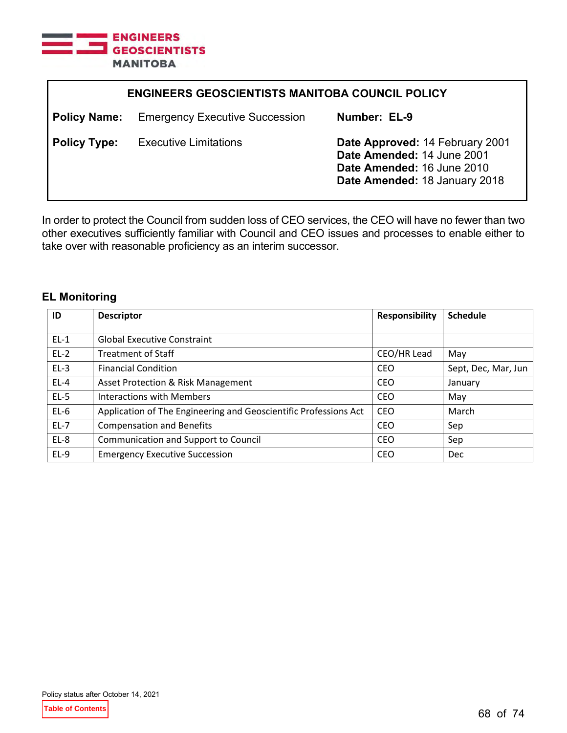

| <b>ENGINEERS GEOSCIENTISTS MANITOBA COUNCIL POLICY</b> |                                       |                                                                                                                              |
|--------------------------------------------------------|---------------------------------------|------------------------------------------------------------------------------------------------------------------------------|
| <b>Policy Name:</b>                                    | <b>Emergency Executive Succession</b> | Number: EL-9                                                                                                                 |
| <b>Policy Type:</b>                                    | <b>Executive Limitations</b>          | Date Approved: 14 February 2001<br>Date Amended: 14 June 2001<br>Date Amended: 16 June 2010<br>Date Amended: 18 January 2018 |

In order to protect the Council from sudden loss of CEO services, the CEO will have no fewer than two other executives sufficiently familiar with Council and CEO issues and processes to enable either to take over with reasonable proficiency as an interim successor.

# **EL Monitoring**

| ID     | <b>Descriptor</b>                                                | <b>Responsibility</b> | <b>Schedule</b>     |
|--------|------------------------------------------------------------------|-----------------------|---------------------|
|        |                                                                  |                       |                     |
| $EL-1$ | <b>Global Executive Constraint</b>                               |                       |                     |
| $EL-2$ | <b>Treatment of Staff</b>                                        | CEO/HR Lead           | May                 |
| $EL-3$ | <b>Financial Condition</b>                                       | <b>CEO</b>            | Sept, Dec, Mar, Jun |
| $EL-4$ | Asset Protection & Risk Management                               | CEO                   | January             |
| $EL-5$ | <b>Interactions with Members</b>                                 | <b>CEO</b>            | May                 |
| $EL-6$ | Application of The Engineering and Geoscientific Professions Act | <b>CEO</b>            | March               |
| $EL-7$ | <b>Compensation and Benefits</b>                                 | CEO                   | Sep                 |
| $EL-8$ | Communication and Support to Council                             | <b>CEO</b>            | Sep                 |
| $EL-9$ | <b>Emergency Executive Succession</b>                            | CEO                   | Dec                 |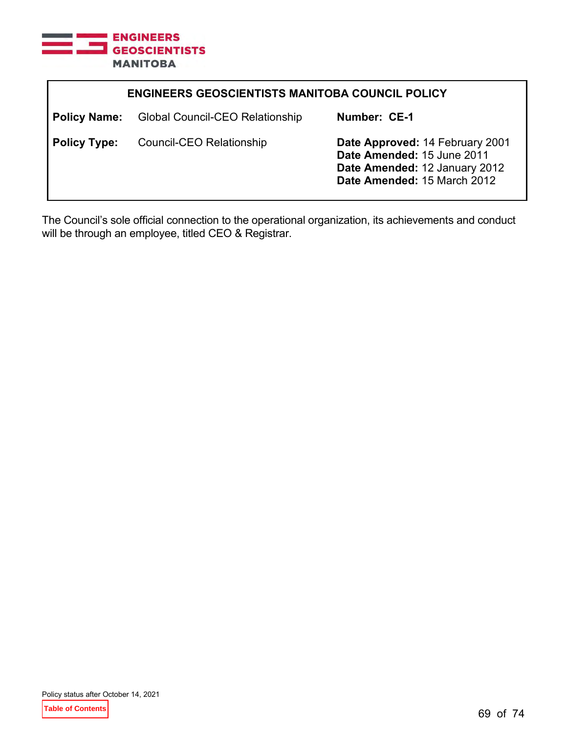

| <b>ENGINEERS GEOSCIENTISTS MANITOBA COUNCIL POLICY</b> |                                        |                                                                                                                               |
|--------------------------------------------------------|----------------------------------------|-------------------------------------------------------------------------------------------------------------------------------|
| <b>Policy Name:</b>                                    | <b>Global Council-CEO Relationship</b> | Number: CE-1                                                                                                                  |
| <b>Policy Type:</b>                                    | Council-CEO Relationship               | Date Approved: 14 February 2001<br>Date Amended: 15 June 2011<br>Date Amended: 12 January 2012<br>Date Amended: 15 March 2012 |

The Council's sole official connection to the operational organization, its achievements and conduct will be through an employee, titled CEO & Registrar.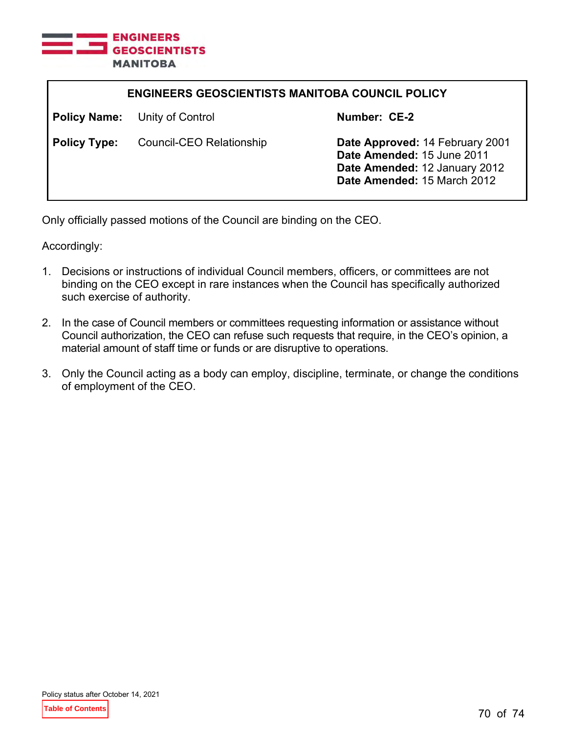

| <b>ENGINEERS GEOSCIENTISTS MANITOBA COUNCIL POLICY</b> |                                      |                                                                                                                               |
|--------------------------------------------------------|--------------------------------------|-------------------------------------------------------------------------------------------------------------------------------|
|                                                        | <b>Policy Name:</b> Unity of Control | Number: CE-2                                                                                                                  |
| <b>Policy Type:</b>                                    | Council-CEO Relationship             | Date Approved: 14 February 2001<br>Date Amended: 15 June 2011<br>Date Amended: 12 January 2012<br>Date Amended: 15 March 2012 |

Only officially passed motions of the Council are binding on the CEO.

Accordingly:

- 1. Decisions or instructions of individual Council members, officers, or committees are not binding on the CEO except in rare instances when the Council has specifically authorized such exercise of authority.
- 2. In the case of Council members or committees requesting information or assistance without Council authorization, the CEO can refuse such requests that require, in the CEO's opinion, a material amount of staff time or funds or are disruptive to operations.
- 3. Only the Council acting as a body can employ, discipline, terminate, or change the conditions of employment of the CEO.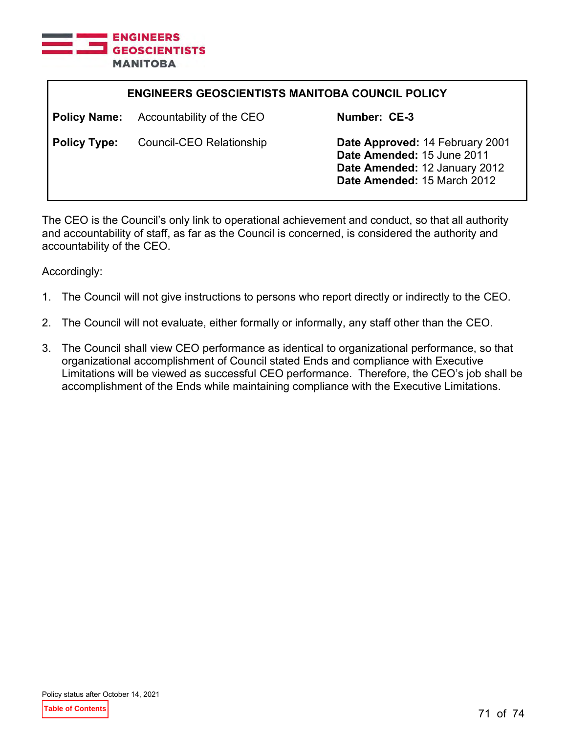

| <b>ENGINEERS GEOSCIENTISTS MANITOBA COUNCIL POLICY</b> |                           |                                                                                                                               |
|--------------------------------------------------------|---------------------------|-------------------------------------------------------------------------------------------------------------------------------|
| <b>Policy Name:</b>                                    | Accountability of the CEO | Number: CE-3                                                                                                                  |
| <b>Policy Type:</b>                                    | Council-CEO Relationship  | Date Approved: 14 February 2001<br>Date Amended: 15 June 2011<br>Date Amended: 12 January 2012<br>Date Amended: 15 March 2012 |

The CEO is the Council's only link to operational achievement and conduct, so that all authority and accountability of staff, as far as the Council is concerned, is considered the authority and accountability of the CEO.

Accordingly:

- 1. The Council will not give instructions to persons who report directly or indirectly to the CEO.
- 2. The Council will not evaluate, either formally or informally, any staff other than the CEO.
- 3. The Council shall view CEO performance as identical to organizational performance, so that organizational accomplishment of Council stated Ends and compliance with Executive Limitations will be viewed as successful CEO performance. Therefore, the CEO's job shall be accomplishment of the Ends while maintaining compliance with the Executive Limitations.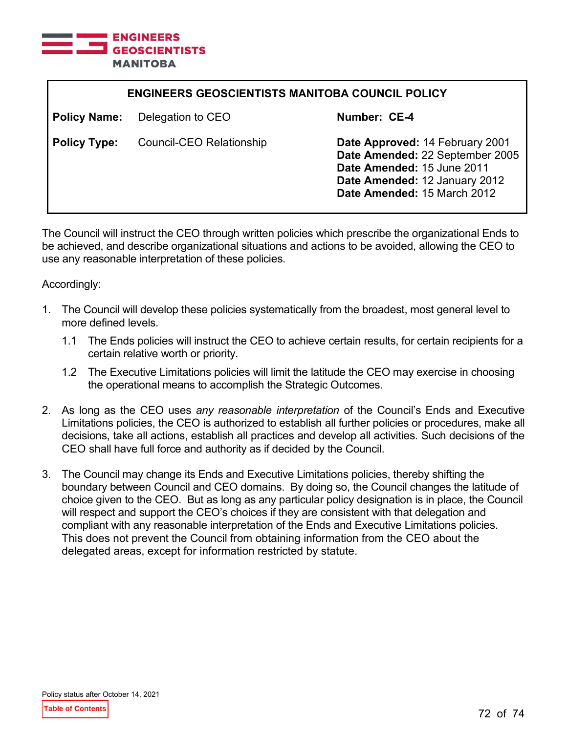

| <b>ENGINEERS GEOSCIENTISTS MANITOBA COUNCIL POLICY</b> |                                 |                                                                                                                                                                  |
|--------------------------------------------------------|---------------------------------|------------------------------------------------------------------------------------------------------------------------------------------------------------------|
| <b>Policy Name:</b>                                    | Delegation to CEO               | Number: CE-4                                                                                                                                                     |
| <b>Policy Type:</b>                                    | <b>Council-CEO Relationship</b> | Date Approved: 14 February 2001<br>Date Amended: 22 September 2005<br>Date Amended: 15 June 2011<br>Date Amended: 12 January 2012<br>Date Amended: 15 March 2012 |

The Council will instruct the CEO through written policies which prescribe the organizational Ends to be achieved, and describe organizational situations and actions to be avoided, allowing the CEO to use any reasonable interpretation of these policies.

Accordingly:

- 1. The Council will develop these policies systematically from the broadest, most general level to more defined levels.
	- 1.1 The Ends policies will instruct the CEO to achieve certain results, for certain recipients for a certain relative worth or priority.
	- 1.2 The Executive Limitations policies will limit the latitude the CEO may exercise in choosing the operational means to accomplish the Strategic Outcomes.
- 2. As long as the CEO uses *any reasonable interpretation* of the Council's Ends and Executive Limitations policies, the CEO is authorized to establish all further policies or procedures, make all decisions, take all actions, establish all practices and develop all activities. Such decisions of the CEO shall have full force and authority as if decided by the Council.
- 3. The Council may change its Ends and Executive Limitations policies, thereby shifting the boundary between Council and CEO domains. By doing so, the Council changes the latitude of choice given to the CEO. But as long as any particular policy designation is in place, the Council will respect and support the CEO's choices if they are consistent with that delegation and compliant with any reasonable interpretation of the Ends and Executive Limitations policies. This does not prevent the Council from obtaining information from the CEO about the delegated areas, except for information restricted by statute.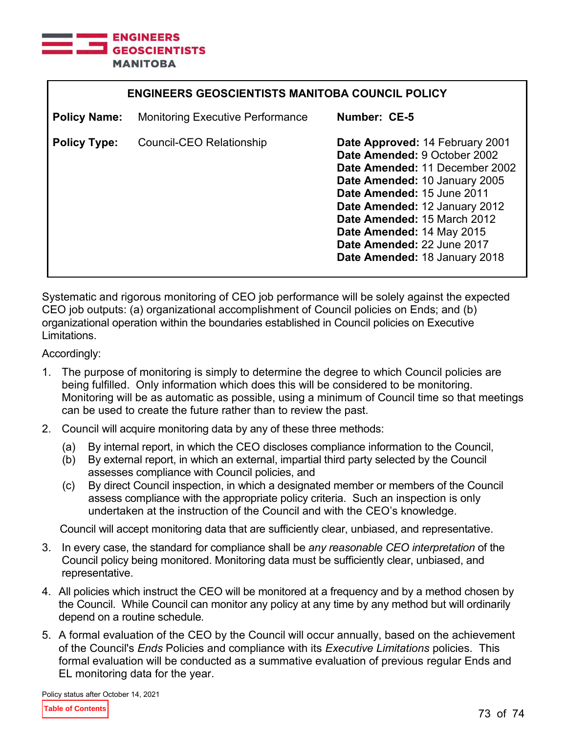

| <b>ENGINEERS GEOSCIENTISTS MANITOBA COUNCIL POLICY</b> |                                         |                                                                                                                                                                                                                                                                                                                              |  |
|--------------------------------------------------------|-----------------------------------------|------------------------------------------------------------------------------------------------------------------------------------------------------------------------------------------------------------------------------------------------------------------------------------------------------------------------------|--|
| <b>Policy Name:</b>                                    | <b>Monitoring Executive Performance</b> | Number: CE-5                                                                                                                                                                                                                                                                                                                 |  |
| <b>Policy Type:</b>                                    | Council-CEO Relationship                | Date Approved: 14 February 2001<br>Date Amended: 9 October 2002<br>Date Amended: 11 December 2002<br>Date Amended: 10 January 2005<br>Date Amended: 15 June 2011<br>Date Amended: 12 January 2012<br>Date Amended: 15 March 2012<br>Date Amended: 14 May 2015<br>Date Amended: 22 June 2017<br>Date Amended: 18 January 2018 |  |

Systematic and rigorous monitoring of CEO job performance will be solely against the expected CEO job outputs: (a) organizational accomplishment of Council policies on Ends; and (b) organizational operation within the boundaries established in Council policies on Executive Limitations.

Accordingly:

- 1. The purpose of monitoring is simply to determine the degree to which Council policies are being fulfilled. Only information which does this will be considered to be monitoring. Monitoring will be as automatic as possible, using a minimum of Council time so that meetings can be used to create the future rather than to review the past.
- 2. Council will acquire monitoring data by any of these three methods:
	- (a) By internal report, in which the CEO discloses compliance information to the Council,
	- (b) By external report, in which an external, impartial third party selected by the Council assesses compliance with Council policies, and
	- (c) By direct Council inspection, in which a designated member or members of the Council assess compliance with the appropriate policy criteria. Such an inspection is only undertaken at the instruction of the Council and with the CEO's knowledge.

Council will accept monitoring data that are sufficiently clear, unbiased, and representative.

- 3. In every case, the standard for compliance shall be *any reasonable CEO interpretation* of the Council policy being monitored. Monitoring data must be sufficiently clear, unbiased, and representative.
- 4. All policies which instruct the CEO will be monitored at a frequency and by a method chosen by the Council. While Council can monitor any policy at any time by any method but will ordinarily depend on a routine schedule*.*
- 5. A formal evaluation of the CEO by the Council will occur annually, based on the achievement of the Council's *Ends* Policies and compliance with its *Executive Limitations* policies. This formal evaluation will be conducted as a summative evaluation of previous regular Ends and EL monitoring data for the year.

Policy status after October 14, 2021

**Table of Contents**